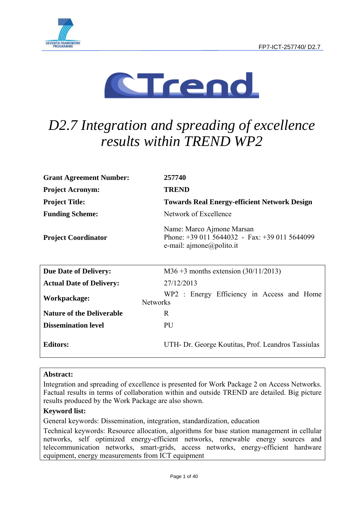



# *D2.7 Integration and spreading of excellence results within TREND WP2*

| <b>Grant Agreement Number:</b>   | 257740                                                                                                                              |
|----------------------------------|-------------------------------------------------------------------------------------------------------------------------------------|
| <b>Project Acronym:</b>          | <b>TREND</b>                                                                                                                        |
| <b>Project Title:</b>            | <b>Towards Real Energy-efficient Network Design</b>                                                                                 |
| <b>Funding Scheme:</b>           | Network of Excellence                                                                                                               |
| <b>Project Coordinator</b>       | Name: Marco Ajmone Marsan<br>Phone: $+390115644032 - Fax$ : $+390115644099$<br>e-mail: $\text{a}$ jmone $\textcircled{a}$ polito.it |
| <b>Due Date of Delivery:</b>     | M36 +3 months extension $(30/11/2013)$                                                                                              |
| <b>Actual Date of Delivery:</b>  | 27/12/2013                                                                                                                          |
| Workpackage:<br><b>Networks</b>  | WP2 : Energy Efficiency in Access and Home                                                                                          |
| <b>Nature of the Deliverable</b> | R                                                                                                                                   |
| <b>Dissemination level</b>       | PU                                                                                                                                  |
| <b>Editors:</b>                  | UTH- Dr. George Koutitas, Prof. Leandros Tassiulas                                                                                  |

### **Abstract:**

Integration and spreading of excellence is presented for Work Package 2 on Access Networks. Factual results in terms of collaboration within and outside TREND are detailed. Big picture results produced by the Work Package are also shown.

### **Keyword list:**

General keywords: Dissemination, integration, standardization, education

Technical keywords: Resource allocation, algorithms for base station management in cellular networks, self optimized energy-efficient networks, renewable energy sources and telecommunication networks, smart-grids, access networks, energy-efficient hardware equipment, energy measurements from ICT equipment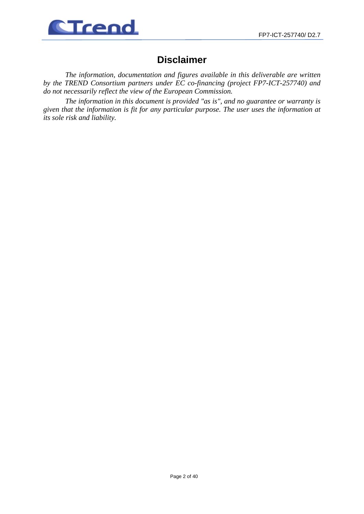

## **Disclaimer**

*The information, documentation and figures available in this deliverable are written by the TREND Consortium partners under EC co-financing (project FP7-ICT-257740) and do not necessarily reflect the view of the European Commission.* 

*The information in this document is provided "as is", and no guarantee or warranty is given that the information is fit for any particular purpose. The user uses the information at its sole risk and liability.*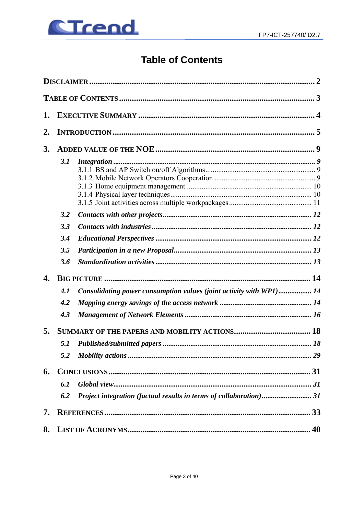

## **Table of Contents**

| 1.               |     |                                                                     |    |
|------------------|-----|---------------------------------------------------------------------|----|
| $\overline{2}$ . |     |                                                                     |    |
| 3.               |     |                                                                     |    |
|                  | 3.1 |                                                                     |    |
|                  | 3.2 |                                                                     |    |
|                  | 3.3 |                                                                     |    |
|                  | 3.4 |                                                                     |    |
|                  | 3.5 |                                                                     |    |
|                  | 3.6 |                                                                     |    |
| 4.               |     |                                                                     |    |
|                  | 4.1 | Consolidating power consumption values (joint activity with WP1) 14 |    |
|                  | 4.2 |                                                                     |    |
|                  | 4.3 |                                                                     |    |
| 5.               |     |                                                                     |    |
|                  | 5.1 |                                                                     |    |
|                  | 5.2 |                                                                     |    |
| 6.               |     |                                                                     |    |
|                  | 6.1 |                                                                     |    |
|                  | 6.2 | Project integration (factual results in terms of collaboration)31   |    |
| 7.               |     |                                                                     | 33 |
| 8.               |     |                                                                     |    |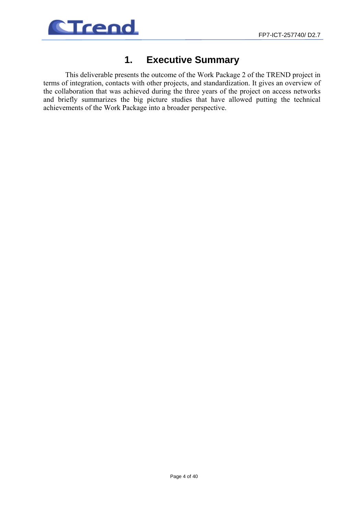

## **1. Executive Summary**

This deliverable presents the outcome of the Work Package 2 of the TREND project in terms of integration, contacts with other projects, and standardization. It gives an overview of the collaboration that was achieved during the three years of the project on access networks and briefly summarizes the big picture studies that have allowed putting the technical achievements of the Work Package into a broader perspective.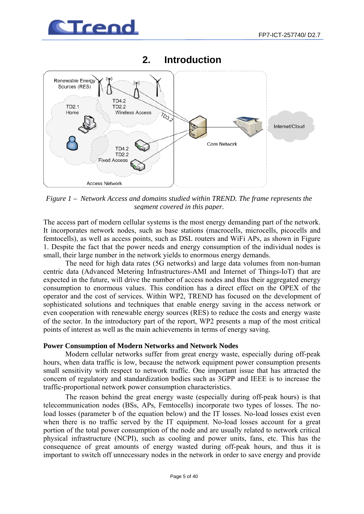



## **2. Introduction**

*Figure 1 – Network Access and domains studied within TREND. The frame represents the segment covered in this paper.*

The access part of modern cellular systems is the most energy demanding part of the network. It incorporates network nodes, such as base stations (macrocells, microcells, picocells and femtocells), as well as access points, such as DSL routers and WiFi APs, as shown in Figure 1. Despite the fact that the power needs and energy consumption of the individual nodes is small, their large number in the network yields to enormous energy demands.

The need for high data rates (5G networks) and large data volumes from non-human centric data (Advanced Metering Infrastructures-AMI and Internet of Things-IoT) that are expected in the future, will drive the number of access nodes and thus their aggregated energy consumption to enormous values. This condition has a direct effect on the OPEX of the operator and the cost of services. Within WP2, TREND has focused on the development of sophisticated solutions and techniques that enable energy saving in the access network or even cooperation with renewable energy sources (RES) to reduce the costs and energy waste of the sector. In the introductory part of the report, WP2 presents a map of the most critical points of interest as well as the main achievements in terms of energy saving.

### **Power Consumption of Modern Networks and Network Nodes**

Modern cellular networks suffer from great energy waste, especially during off-peak hours, when data traffic is low, because the network equipment power consumption presents small sensitivity with respect to network traffic. One important issue that has attracted the concern of regulatory and standardization bodies such as 3GPP and IEEE is to increase the traffic-proportional network power consumption characteristics.

The reason behind the great energy waste (especially during off-peak hours) is that telecommunication nodes (BSs, APs, Femtocells) incorporate two types of losses. The noload losses (parameter b of the equation below) and the IT losses. No-load losses exist even when there is no traffic served by the IT equipment. No-load losses account for a great portion of the total power consumption of the node and are usually related to network critical physical infrastructure (NCPI), such as cooling and power units, fans, etc. This has the consequence of great amounts of energy wasted during off-peak hours, and thus it is important to switch off unnecessary nodes in the network in order to save energy and provide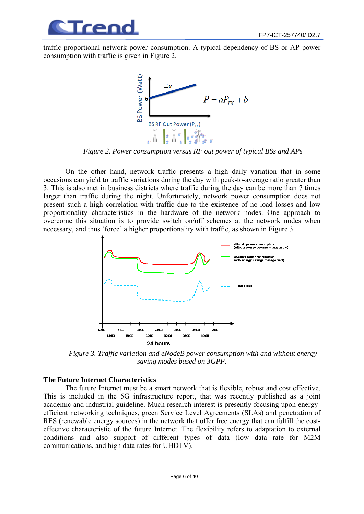

traffic-proportional network power consumption. A typical dependency of BS or AP power consumption with traffic is given in Figure 2.



*Figure 2. Power consumption versus RF out power of typical BSs and APs* 

On the other hand, network traffic presents a high daily variation that in some occasions can yield to traffic variations during the day with peak-to-average ratio greater than 3. This is also met in business districts where traffic during the day can be more than 7 times larger than traffic during the night. Unfortunately, network power consumption does not present such a high correlation with traffic due to the existence of no-load losses and low proportionality characteristics in the hardware of the network nodes. One approach to overcome this situation is to provide switch on/off schemes at the network nodes when necessary, and thus 'force' a higher proportionality with traffic, as shown in Figure 3.



*Figure 3. Traffic variation and eNodeB power consumption with and without energy saving modes based on 3GPP.* 

## **The Future Internet Characteristics**

The future Internet must be a smart network that is flexible, robust and cost effective. This is included in the 5G infrastructure report, that was recently published as a joint academic and industrial guideline. Much research interest is presently focusing upon energyefficient networking techniques, green Service Level Agreements (SLAs) and penetration of RES (renewable energy sources) in the network that offer free energy that can fulfill the costeffective characteristic of the future Internet. The flexibility refers to adaptation to external conditions and also support of different types of data (low data rate for M2M communications, and high data rates for UHDTV).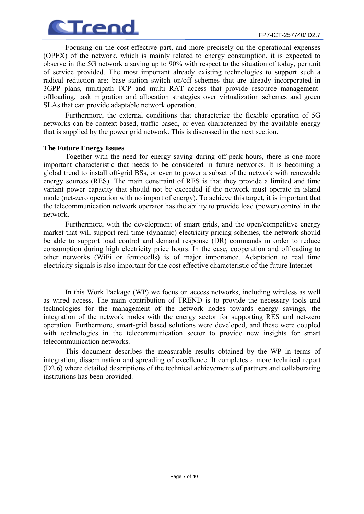

Focusing on the cost-effective part, and more precisely on the operational expenses (OPEX) of the network, which is mainly related to energy consumption, it is expected to observe in the 5G network a saving up to 90% with respect to the situation of today, per unit of service provided. The most important already existing technologies to support such a radical reduction are: base station switch on/off schemes that are already incorporated in 3GPP plans, multipath TCP and multi RAT access that provide resource managementoffloading, task migration and allocation strategies over virtualization schemes and green SLAs that can provide adaptable network operation.

Furthermore, the external conditions that characterize the flexible operation of 5G networks can be context-based, traffic-based, or even characterized by the available energy that is supplied by the power grid network. This is discussed in the next section.

### **The Future Energy Issues**

Together with the need for energy saving during off-peak hours, there is one more important characteristic that needs to be considered in future networks. It is becoming a global trend to install off-grid BSs, or even to power a subset of the network with renewable energy sources (RES). The main constraint of RES is that they provide a limited and time variant power capacity that should not be exceeded if the network must operate in island mode (net-zero operation with no import of energy). To achieve this target, it is important that the telecommunication network operator has the ability to provide load (power) control in the network.

Furthermore, with the development of smart grids, and the open/competitive energy market that will support real time (dynamic) electricity pricing schemes, the network should be able to support load control and demand response (DR) commands in order to reduce consumption during high electricity price hours. In the case, cooperation and offloading to other networks (WiFi or femtocells) is of major importance. Adaptation to real time electricity signals is also important for the cost effective characteristic of the future Internet

In this Work Package (WP) we focus on access networks, including wireless as well as wired access. The main contribution of TREND is to provide the necessary tools and technologies for the management of the network nodes towards energy savings, the integration of the network nodes with the energy sector for supporting RES and net-zero operation. Furthermore, smart-grid based solutions were developed, and these were coupled with technologies in the telecommunication sector to provide new insights for smart telecommunication networks.

This document describes the measurable results obtained by the WP in terms of integration, dissemination and spreading of excellence. It completes a more technical report (D2.6) where detailed descriptions of the technical achievements of partners and collaborating institutions has been provided.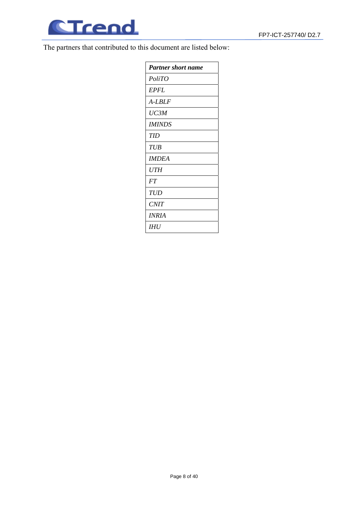

The partners that contributed to this document are listed below:

| <b>Partner short name</b> |
|---------------------------|
| PoliTO                    |
| <b>EPFL</b>               |
| A-LBLF                    |
| UC3M                      |
| <i>IMINDS</i>             |
| <b>TID</b>                |
| TUB                       |
| <b>IMDEA</b>              |
| UTH                       |
| FT                        |
| TUD                       |
| <i>CNIT</i>               |
| INRIA                     |
| IHU                       |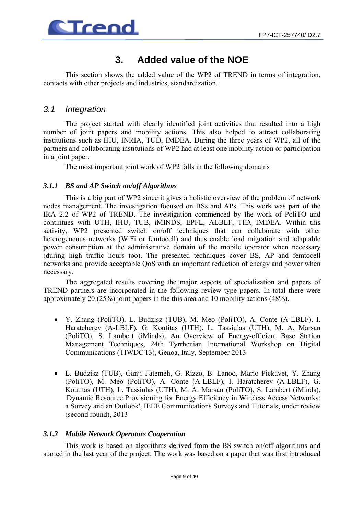

## **3. Added value of the NOE**

This section shows the added value of the WP2 of TREND in terms of integration, contacts with other projects and industries, standardization.

## *3.1 Integration*

The project started with clearly identified joint activities that resulted into a high number of joint papers and mobility actions. This also helped to attract collaborating institutions such as IHU, INRIA, TUD, IMDEA. During the three years of WP2, all of the partners and collaborating institutions of WP2 had at least one mobility action or participation in a joint paper.

The most important joint work of WP2 falls in the following domains

## *3.1.1 BS and AP Switch on/off Algorithms*

This is a big part of WP2 since it gives a holistic overview of the problem of network nodes management. The investigation focused on BSs and APs. This work was part of the IRA 2.2 of WP2 of TREND. The investigation commenced by the work of PoliTO and contintues with UTH, IHU, TUB, iMINDS, EPFL, ALBLF, TID, IMDEA. Within this activity, WP2 presented switch on/off techniques that can collaborate with other heterogeneous networks (WiFi or femtocell) and thus enable load migration and adaptable power consumption at the administrative domain of the mobile operator when necessary (during high traffic hours too). The presented techniques cover BS, AP and femtocell networks and provide acceptable QoS with an important reduction of energy and power when necessary.

The aggregated results covering the major aspects of specialization and papers of TREND partners are incorporated in the following review type papers. In total there were approximately 20 (25%) joint papers in the this area and 10 mobility actions (48%).

- Y. Zhang (PoliTO), L. Budzisz (TUB), M. Meo (PoliTO), A. Conte (A-LBLF), I. Haratcherev (A-LBLF), G. Koutitas (UTH), L. Tassiulas (UTH), M. A. Marsan (PoliTO), S. Lambert (iMinds), An Overview of Energy-efficient Base Station Management Techniques, 24th Tyrrhenian International Workshop on Digital Communications (TIWDC'13), Genoa, Italy, September 2013
- L. Budzisz (TUB), Ganji Fatemeh, G. Rizzo, B. Lanoo, Mario Pickavet, Y. Zhang (PoliTO), M. Meo (PoliTO), A. Conte (A-LBLF), I. Haratcherev (A-LBLF), G. Koutitas (UTH), L. Tassiulas (UTH), M. A. Marsan (PoliTO), S. Lambert (iMinds), 'Dynamic Resource Provisioning for Energy Efficiency in Wireless Access Networks: a Survey and an Outlook', IEEE Communications Surveys and Tutorials, under review (second round), 2013

### *3.1.2 Mobile Network Operators Cooperation*

This work is based on algorithms derived from the BS switch on/off algorithms and started in the last year of the project. The work was based on a paper that was first introduced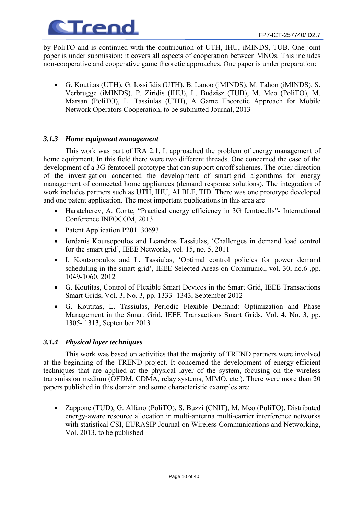

by PoliTO and is continued with the contribution of UTH, IHU, iMINDS, TUB. One joint paper is under submission; it covers all aspects of cooperation between MNOs. This includes non-cooperative and cooperative game theoretic approaches. One paper is under preparation:

• G. Koutitas (UTH), G. Iossifidis (UTH), B. Lanoo (iMINDS), M. Tahon (iMINDS), S. Verbrugge (iMINDS), P. Ziridis (IHU), L. Budzisz (TUB), M. Meo (PoliTO), M. Marsan (PoliTO), L. Tassiulas (UTH), A Game Theoretic Approach for Mobile Network Operators Cooperation, to be submitted Journal, 2013

### *3.1.3 Home equipment management*

This work was part of IRA 2.1. It approached the problem of energy management of home equipment. In this field there were two different threads. One concerned the case of the development of a 3G-femtocell prototype that can support on/off schemes. The other direction of the investigation concerned the development of smart-grid algorithms for energy management of connected home appliances (demand response solutions). The integration of work includes partners such as UTH, IHU, ALBLF, TID. There was one prototype developed and one patent application. The most important publications in this area are

- Haratcherev, A. Conte, "Practical energy efficiency in 3G femtocells"- International Conference INFOCOM, 2013
- Patent Application P201130693
- Iordanis Koutsopoulos and Leandros Tassiulas, 'Challenges in demand load control for the smart grid', IEEE Networks, vol. 15, no. 5, 2011
- I. Koutsopoulos and L. Tassiulas, 'Optimal control policies for power demand scheduling in the smart grid', IEEE Selected Areas on Communic., vol. 30, no.6 ,pp. 1049-1060, 2012
- G. Koutitas, Control of Flexible Smart Devices in the Smart Grid, IEEE Transactions Smart Grids, Vol. 3, No. 3, pp. 1333- 1343, September 2012
- G. Koutitas, L. Tassiulas, Periodic Flexible Demand: Optimization and Phase Management in the Smart Grid, IEEE Transactions Smart Grids, Vol. 4, No. 3, pp. 1305- 1313, September 2013

### *3.1.4 Physical layer techniques*

This work was based on activities that the majority of TREND partners were involved at the beginning of the TREND project. It concerned the development of energy-efficient techniques that are applied at the physical layer of the system, focusing on the wireless transmission medium (OFDM, CDMA, relay systems, MIMO, etc.). There were more than 20 papers published in this domain and some characteristic examples are:

• Zappone (TUD), G. Alfano (PoliTO), S. Buzzi (CNIT), M. Meo (PoliTO), Distributed energy-aware resource allocation in multi-antenna multi-carrier interference networks with statistical CSI, EURASIP Journal on Wireless Communications and Networking, Vol. 2013, to be published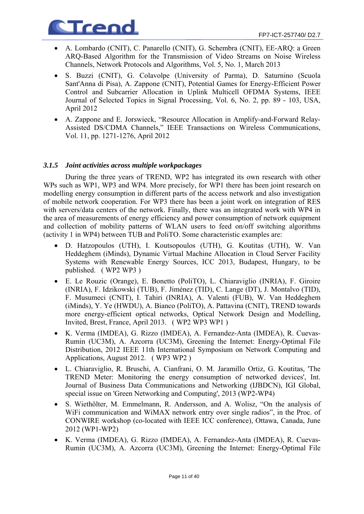

- A. Lombardo (CNIT), C. Panarello (CNIT), G. Schembra (CNIT), EE-ARQ: a Green ARQ-Based Algorithm for the Transmission of Video Streams on Noise Wireless Channels, Network Protocols and Algorithms, Vol. 5, No. 1, March 2013
- S. Buzzi (CNIT), G. Colavolpe (University of Parma), D. Saturnino (Scuola Sant'Anna di Pisa), A. Zappone (CNIT), Potential Games for Energy-Efficient Power Control and Subcarrier Allocation in Uplink Multicell OFDMA Systems, IEEE Journal of Selected Topics in Signal Processing, Vol. 6, No. 2, pp. 89 - 103, USA, April 2012
- A. Zappone and E. Jorswieck, "Resource Allocation in Amplify-and-Forward Relay-Assisted DS/CDMA Channels," IEEE Transactions on Wireless Communications, Vol. 11, pp. 1271-1276, April 2012

### *3.1.5 Joint activities across multiple workpackages*

During the three years of TREND, WP2 has integrated its own research with other WPs such as WP1, WP3 and WP4. More precisely, for WP1 there has been joint research on modelling energy consumption in different parts of the access network and also investigation of mobile network cooperation. For WP3 there has been a joint work on integration of RES with servers/data centers of the network. Finally, there was an integrated work with WP4 in the area of measurements of energy efficiency and power consumption of network equipment and collection of mobility patterns of WLAN users to feed on/off switching algorithms (activity 1 in WP4) between TUB and PoliTO. Some characteristic examples are:

- D. Hatzopoulos (UTH), I. Koutsopoulos (UTH), G. Koutitas (UTH), W. Van Heddeghem (iMinds), Dynamic Virtual Machine Allocation in Cloud Server Facility Systems with Renewable Energy Sources, ICC 2013, Budapest, Hungary, to be published. ( WP2 WP3 )
- E. Le Rouzic (Orange), E. Bonetto (PoliTO), L. Chiaraviglio (INRIA), F. Giroire (INRIA), F. Idzikowski (TUB), F. Jiménez (TID), C. Lange (DT), J. Montalvo (TID), F. Musumeci (CNIT), I. Tahiri (INRIA), A. Valenti (FUB), W. Van Heddeghem (iMinds), Y. Ye (HWDU), A. Bianco (PoliTO), A. Pattavina (CNIT), TREND towards more energy-efficient optical networks, Optical Network Design and Modelling, Invited, Brest, France, April 2013. ( WP2 WP3 WP1 )
- K. Verma (IMDEA), G. Rizzo (IMDEA), A. Fernandez-Anta (IMDEA), R. Cuevas-Rumin (UC3M), A. Azcorra (UC3M), Greening the Internet: Energy-Optimal File Distribution, 2012 IEEE 11th International Symposium on Network Computing and Applications, August 2012. ( WP3 WP2 )
- L. Chiaraviglio, R. Bruschi, A. Cianfrani, O. M. Jaramillo Ortiz, G. Koutitas, 'The TREND Meter: Monitoring the energy consumption of networked devices', Int. Journal of Business Data Communications and Networking (IJBDCN), IGI Global, special issue on 'Green Networking and Computing', 2013 (WP2-WP4)
- S. Wiethölter, M. Emmelmann, R. Andersson, and A. Wolisz, "On the analysis of WiFi communication and WiMAX network entry over single radios", in the Proc. of CONWIRE workshop (co-located with IEEE ICC conference), Ottawa, Canada, June 2012 (WP1-WP2)
- K. Verma (IMDEA), G. Rizzo (IMDEA), A. Fernandez-Anta (IMDEA), R. Cuevas-Rumin (UC3M), A. Azcorra (UC3M), Greening the Internet: Energy-Optimal File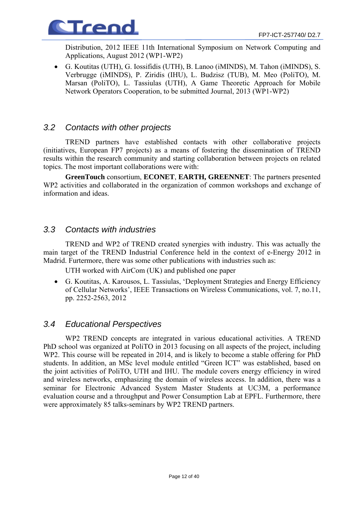

Distribution, 2012 IEEE 11th International Symposium on Network Computing and Applications, August 2012 (WP1-WP2)

• G. Koutitas (UTH), G. Iossifidis (UTH), B. Lanoo (iMINDS), M. Tahon (iMINDS), S. Verbrugge (iMINDS), P. Ziridis (IHU), L. Budzisz (TUB), M. Meo (PoliTO), M. Marsan (PoliTO), L. Tassiulas (UTH), A Game Theoretic Approach for Mobile Network Operators Cooperation, to be submitted Journal, 2013 (WP1-WP2)

## *3.2 Contacts with other projects*

TREND partners have established contacts with other collaborative projects (initiatives, European FP7 projects) as a means of fostering the dissemination of TREND results within the research community and starting collaboration between projects on related topics. The most important collaborations were with:

**GreenTouch** consortium, **ECONET**, **EARTH, GREENNET**: The partners presented WP2 activities and collaborated in the organization of common workshops and exchange of information and ideas.

## *3.3 Contacts with industries*

TREND and WP2 of TREND created synergies with industry. This was actually the main target of the TREND Industrial Conference held in the context of e-Energy 2012 in Madrid. Furtermore, there was some other publications with industries such as:

UTH worked with AirCom (UK) and published one paper

• G. Koutitas, A. Karousos, L. Tassiulas, 'Deployment Strategies and Energy Efficiency of Cellular Networks', IEEE Transactions on Wireless Communications, vol. 7, no.11, pp. 2252-2563, 2012

## *3.4 Educational Perspectives*

WP2 TREND concepts are integrated in various educational activities. A TREND PhD school was organized at PoliTO in 2013 focusing on all aspects of the project, including WP2. This course will be repeated in 2014, and is likely to become a stable offering for PhD students. In addition, an MSc level module entitled "Green ICT" was established, based on the joint activities of PoliTO, UTH and IHU. The module covers energy efficiency in wired and wireless networks, emphasizing the domain of wireless access. In addition, there was a seminar for Electronic Advanced System Master Students at UC3M, a performance evaluation course and a throughput and Power Consumption Lab at EPFL. Furthermore, there were approximately 85 talks-seminars by WP2 TREND partners.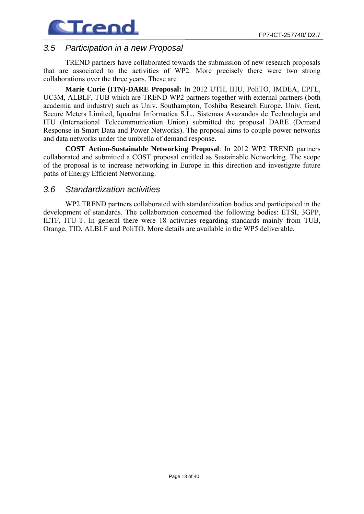

## *3.5 Participation in a new Proposal*

TREND partners have collaborated towards the submission of new research proposals that are associated to the activities of WP2. More precisely there were two strong collaborations over the three years. These are

**Marie Curie (ITN)-DARE Proposal:** In 2012 UTH, IHU, PoliTO, IMDEA, EPFL, UC3M, ALBLF, TUB which are TREND WP2 partners together with external partners (both academia and industry) such as Univ. Southampton, Toshiba Research Europe, Univ. Gent, Secure Meters Limited, Iquadrat Informatica S.L., Sistemas Avazandos de Technologia and ITU (International Telecommunication Union) submitted the proposal DARE (Demand Response in Smart Data and Power Networks). The proposal aims to couple power networks and data networks under the umbrella of demand response.

**COST Action-Sustainable Networking Proposal**: In 2012 WP2 TREND partners collaborated and submitted a COST proposal entitled as Sustainable Networking. The scope of the proposal is to increase networking in Europe in this direction and investigate future paths of Energy Efficient Networking.

## *3.6 Standardization activities*

WP2 TREND partners collaborated with standardization bodies and participated in the development of standards. The collaboration concerned the following bodies: ETSI, 3GPP, IETF, ITU-T. In general there were 18 activities regarding standards mainly from TUB, Orange, TID, ALBLF and PoliTO. More details are available in the WP5 deliverable.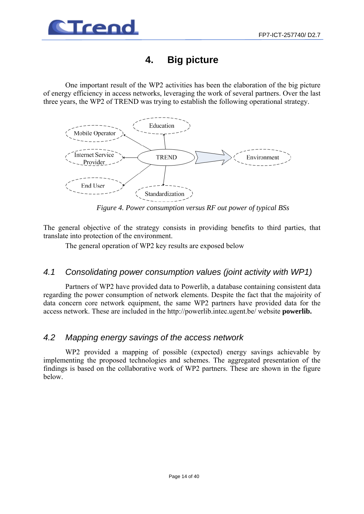

## **4. Big picture**

One important result of the WP2 activities has been the elaboration of the big picture of energy efficiency in access networks, leveraging the work of several partners. Over the last three years, the WP2 of TREND was trying to establish the following operational strategy.



*Figure 4. Power consumption versus RF out power of typical BSs* 

The general objective of the strategy consists in providing benefits to third parties, that translate into protection of the environment.

The general operation of WP2 key results are exposed below

## *4.1 Consolidating power consumption values (joint activity with WP1)*

Partners of WP2 have provided data to Powerlib, a database containing consistent data regarding the power consumption of network elements. Despite the fact that the majoirity of data concern core network equipment, the same WP2 partners have provided data for the access network. These are included in the http://powerlib.intec.ugent.be/ website **powerlib.** 

## *4.2 Mapping energy savings of the access network*

WP2 provided a mapping of possible (expected) energy savings achievable by implementing the proposed technologies and schemes. The aggregated presentation of the findings is based on the collaborative work of WP2 partners. These are shown in the figure below.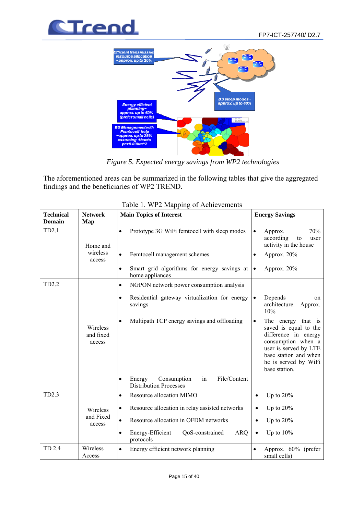



*Figure 5. Expected energy savings from WP2 technologies*

The aforementioned areas can be summarized in the following tables that give the aggregated findings and the beneficiaries of WP2 TREND.

| <b>Technical</b><br><b>Domain</b> | <b>Network</b><br>Map           | <b>Main Topics of Interest</b>                                                                                                                | <b>Energy Savings</b>                                                                                                                                                                |
|-----------------------------------|---------------------------------|-----------------------------------------------------------------------------------------------------------------------------------------------|--------------------------------------------------------------------------------------------------------------------------------------------------------------------------------------|
| TD2.1                             | Home and<br>wireless<br>access  | Prototype 3G WiFi femtocell with sleep modes<br>$\bullet$<br>Femtocell management schemes<br>Smart grid algorithms for energy savings at<br>٠ | 70%<br>Approx.<br>$\bullet$<br>according<br>to<br>user<br>activity in the house<br>Approx. 20%<br>٠<br>Approx. 20%<br>$\bullet$                                                      |
| TD2.2                             |                                 | home appliances                                                                                                                               |                                                                                                                                                                                      |
|                                   |                                 | NGPON network power consumption analysis<br>$\bullet$                                                                                         |                                                                                                                                                                                      |
|                                   |                                 | Residential gateway virtualization for energy<br>$\bullet$<br>savings                                                                         | Depends<br>$\bullet$<br>on<br>architecture.<br>Approx.<br>10%                                                                                                                        |
|                                   | Wireless<br>and fixed<br>access | Multipath TCP energy savings and offloading<br>$\bullet$                                                                                      | The energy that is<br>saved is equal to the<br>difference in energy<br>consumption when a<br>user is served by LTE<br>base station and when<br>he is served by WiFi<br>base station. |
|                                   |                                 | File/Content<br>Consumption<br>Energy<br>in<br><b>Distribution Processes</b>                                                                  |                                                                                                                                                                                      |
| TD2.3                             |                                 | Resource allocation MIMO<br>٠                                                                                                                 | Up to $20\%$                                                                                                                                                                         |
|                                   | Wireless                        | Resource allocation in relay assisted networks<br>٠                                                                                           | Up to $20%$                                                                                                                                                                          |
|                                   | and Fixed<br>access             | Resource allocation in OFDM networks<br>$\bullet$                                                                                             | Up to $20\%$                                                                                                                                                                         |
|                                   |                                 | QoS-constrained<br><b>ARQ</b><br>Energy-Efficient<br>٠<br>protocols                                                                           | Up to $10\%$                                                                                                                                                                         |
| TD 2.4                            | Wireless<br>Access              | Energy efficient network planning<br>$\bullet$                                                                                                | Approx. 60% (prefer<br>$\bullet$<br>small cells)                                                                                                                                     |

| Table 1. WP2 Mapping of Achievements |  |
|--------------------------------------|--|
|--------------------------------------|--|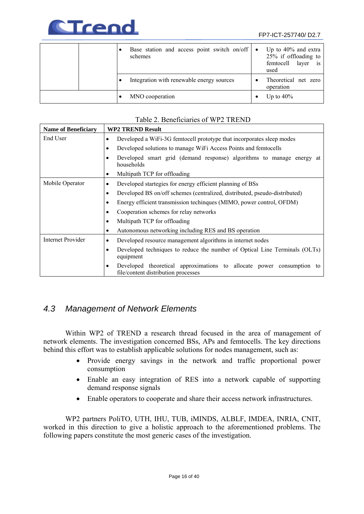

|  | Base station and access point switch on/off $\bullet$<br>schemes | Up to $40\%$ and extra<br>$25\%$ if offloading to<br>layer is<br>femtocell<br>used |
|--|------------------------------------------------------------------|------------------------------------------------------------------------------------|
|  | Integration with renewable energy sources                        | Theoretical net zero<br>operation                                                  |
|  | MNO cooperation                                                  | Up to $40\%$                                                                       |

## Table 2. Beneficiaries of WP2 TREND

| <b>Name of Beneficiary</b> | <b>WP2 TREND Result</b>                                                                                              |
|----------------------------|----------------------------------------------------------------------------------------------------------------------|
| End User                   | Developed a WiFi-3G femtocell prototype that incorporates sleep modes<br>٠                                           |
|                            | Developed solutions to manage WiFi Access Points and femtocells<br>٠                                                 |
|                            | Developed smart grid (demand response) algorithms to manage energy at<br>٠<br>households                             |
|                            | Multipath TCP for offloading<br>٠                                                                                    |
| Mobile Operator            | Developed startegies for energy efficient planning of BSs<br>$\bullet$                                               |
|                            | Developed BS on/off schemes (centralized, distributed, pseudo-distributed)<br>٠                                      |
|                            | Energy efficient transmission techinques (MIMO, power control, OFDM)<br>٠                                            |
|                            | Cooperation schemes for relay networks<br>٠                                                                          |
|                            | Multipath TCP for offloading<br>٠                                                                                    |
|                            | Autonomous networking including RES and BS operation<br>٠                                                            |
| Internet Provider          | Developed resource management algorithms in internet nodes<br>$\bullet$                                              |
|                            | Developed techniques to reduce the number of Optical Line Terminals (OLTs)<br>٠<br>equipment                         |
|                            | Developed theoretical approximations to allocate power consumption<br>to<br>٠<br>file/content distribution processes |

## *4.3 Management of Network Elements*

Within WP2 of TREND a research thread focused in the area of management of network elements. The investigation concerned BSs, APs and femtocells. The key directions behind this effort was to establish applicable solutions for nodes management, such as:

- Provide energy savings in the network and traffic proportional power consumption
- Enable an easy integration of RES into a network capable of supporting demand response signals
- Enable operators to cooperate and share their access network infrastructures.

WP2 partners PoliTO, UTH, IHU, TUB, iMINDS, ALBLF, IMDEA, INRIA, CNIT, worked in this direction to give a holistic approach to the aforementioned problems. The following papers constitute the most generic cases of the investigation.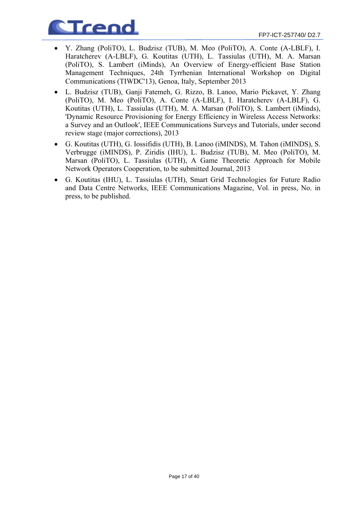

- Y. Zhang (PoliTO), L. Budzisz (TUB), M. Meo (PoliTO), A. Conte (A-LBLF), I. Haratcherev (A-LBLF), G. Koutitas (UTH), L. Tassiulas (UTH), M. A. Marsan (PoliTO), S. Lambert (iMinds), An Overview of Energy-efficient Base Station Management Techniques, 24th Tyrrhenian International Workshop on Digital Communications (TIWDC'13), Genoa, Italy, September 2013
- L. Budzisz (TUB), Ganji Fatemeh, G. Rizzo, B. Lanoo, Mario Pickavet, Y. Zhang (PoliTO), M. Meo (PoliTO), A. Conte (A-LBLF), I. Haratcherev (A-LBLF), G. Koutitas (UTH), L. Tassiulas (UTH), M. A. Marsan (PoliTO), S. Lambert (iMinds), 'Dynamic Resource Provisioning for Energy Efficiency in Wireless Access Networks: a Survey and an Outlook', IEEE Communications Surveys and Tutorials, under second review stage (major corrections), 2013
- G. Koutitas (UTH), G. Iossifidis (UTH), B. Lanoo (iMINDS), M. Tahon (iMINDS), S. Verbrugge (iMINDS), P. Ziridis (IHU), L. Budzisz (TUB), M. Meo (PoliTO), M. Marsan (PoliTO), L. Tassiulas (UTH), A Game Theoretic Approach for Mobile Network Operators Cooperation, to be submitted Journal, 2013
- G. Koutitas (IHU), L. Tassiulas (UTH), Smart Grid Technologies for Future Radio and Data Centre Networks, IEEE Communications Magazine, Vol. in press, No. in press, to be published.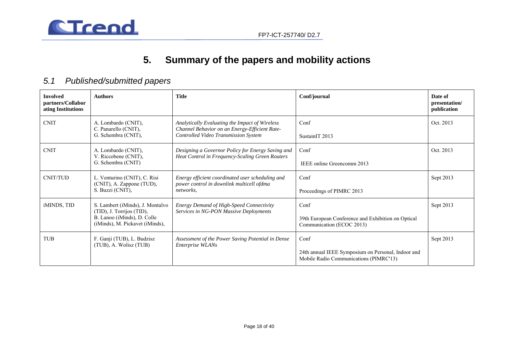



## **5. Summary of the papers and mobility actions**

## *5.1 Published/submitted papers*

| <b>Involved</b><br>partners/Collabor<br>ating Institutions | <b>Authors</b>                                                                                                                  | <b>Title</b>                                                                                                                            | Conf/journal                                                                                         | Date of<br>presentation/<br>publication |
|------------------------------------------------------------|---------------------------------------------------------------------------------------------------------------------------------|-----------------------------------------------------------------------------------------------------------------------------------------|------------------------------------------------------------------------------------------------------|-----------------------------------------|
| <b>CNIT</b>                                                | A. Lombardo (CNIT),<br>C. Panarello (CNIT),<br>G. Schembra (CNIT),                                                              | Analytically Evaluating the Impact of Wireless<br>Channel Behavior on an Energy-Efficient Rate-<br>Controlled Video Transmission System | Conf<br>SustainIT 2013                                                                               | Oct. 2013                               |
| <b>CNIT</b>                                                | A. Lombardo (CNIT),<br>V. Riccobene (CNIT),<br>G. Schembra (CNIT)                                                               | Designing a Governor Policy for Energy Saving and<br>Heat Control in Frequency-Scaling Green Routers                                    | Conf<br>IEEE online Greencomm 2013                                                                   | Oct. 2013                               |
| CNIT/TUD                                                   | L. Venturino (CNIT), C. Risi<br>(CNIT), A. Zappone (TUD),<br>S. Buzzi (CNIT),                                                   | Energy efficient coordinated user scheduling and<br>power control in downlink multicell ofdma<br>networks.                              | Conf<br>Proceedings of PIMRC 2013                                                                    | Sept 2013                               |
| iMINDS, TID                                                | S. Lambert (iMinds), J. Montalvo<br>(TID), J. Torrijos (TID),<br>B. Lanoo (iMinds), D. Colle<br>(iMinds), M. Pickavet (iMinds), | <b>Energy Demand of High-Speed Connectivity</b><br>Services in NG-PON Massive Deployments                                               | Conf<br>39th European Conference and Exhibition on Optical<br>Communication (ECOC 2013)              | Sept 2013                               |
| <b>TUB</b>                                                 | F. Ganji (TUB), L. Budzisz<br>(TUB), A. Wolisz (TUB)                                                                            | Assessment of the Power Saving Potential in Dense<br><i>Enterprise WLANs</i>                                                            | Conf<br>24th annual IEEE Symposium on Personal, Indoor and<br>Mobile Radio Communications (PIMRC'13) | Sept 2013                               |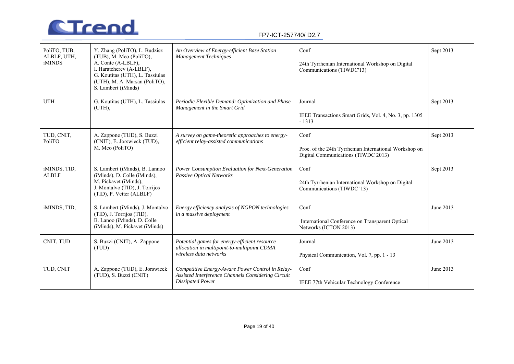

| PoliTO, TUB,<br>ALBLF, UTH,<br><b>iMINDS</b> | Y. Zhang (PoliTO), L. Budzisz<br>(TUB), M. Meo (PoliTO),<br>A. Conte (A-LBLF),<br>I. Haratcherev (A-LBLF),<br>G. Koutitas (UTH), L. Tassiulas<br>(UTH), M. A. Marsan (PoliTO),<br>S. Lambert (iMinds) | An Overview of Energy-efficient Base Station<br>Management Techniques                                                             | Conf<br>24th Tyrrhenian International Workshop on Digital<br>Communications (TIWDC'13)                | Sept 2013 |
|----------------------------------------------|-------------------------------------------------------------------------------------------------------------------------------------------------------------------------------------------------------|-----------------------------------------------------------------------------------------------------------------------------------|-------------------------------------------------------------------------------------------------------|-----------|
| <b>UTH</b>                                   | G. Koutitas (UTH), L. Tassiulas<br>(UTH),                                                                                                                                                             | Periodic Flexible Demand: Optimization and Phase<br>Management in the Smart Grid                                                  | Journal<br>IEEE Transactions Smart Grids, Vol. 4, No. 3, pp. 1305<br>$-1313$                          | Sept 2013 |
| TUD, CNIT,<br>PoliTO                         | A. Zappone (TUD), S. Buzzi<br>(CNIT), E. Jorswieck (TUD),<br>M. Meo (PoliTO)                                                                                                                          | A survey on game-theoretic approaches to energy-<br>efficient relay-assisted communications                                       | Conf<br>Proc. of the 24th Tyrrhenian International Workshop on<br>Digital Communications (TIWDC 2013) | Sept 2013 |
| iMINDS, TID,<br><b>ALBLF</b>                 | S. Lambert (iMinds), B. Lannoo<br>(iMinds), D. Colle (iMinds),<br>M. Pickavet (iMinds),<br>J. Montalvo (TID), J. Torrijos<br>(TID), P. Vetter (ALBLF)                                                 | Power Consumption Evaluation for Next-Generation<br><b>Passive Optical Networks</b>                                               | Conf<br>24th Tyrrhenian International Workshop on Digital<br>Communications (TIWDC '13)               | Sept 2013 |
| iMINDS, TID,                                 | S. Lambert (iMinds), J. Montalvo<br>(TID), J. Torrijos (TID),<br>B. Lanoo (iMinds), D. Colle<br>(iMinds), M. Pickavet (iMinds)                                                                        | Energy efficiency analysis of NGPON technologies<br>in a massive deployment                                                       | Conf<br>International Conference on Transparent Optical<br>Networks (ICTON 2013)                      | June 2013 |
| CNIT, TUD                                    | S. Buzzi (CNIT), A. Zappone<br>(TUD)                                                                                                                                                                  | Potential games for energy-efficient resource<br>allocation in multipoint-to-multipoint CDMA<br>wireless data networks            | Journal<br>Physical Communication, Vol. 7, pp. 1 - 13                                                 | June 2013 |
| TUD, CNIT                                    | A. Zappone (TUD), E. Jorswieck<br>(TUD), S. Buzzi (CNIT)                                                                                                                                              | Competitive Energy-Aware Power Control in Relay-<br>Assisted Interference Channels Considering Circuit<br><b>Dissipated Power</b> | Conf<br>IEEE 77th Vehicular Technology Conference                                                     | June 2013 |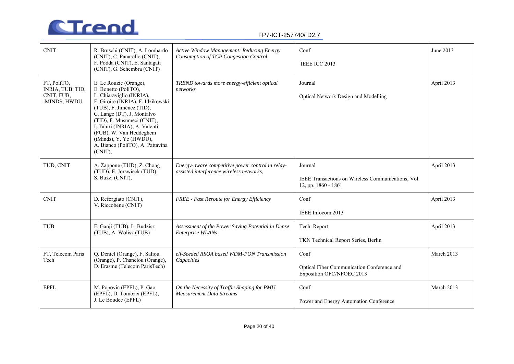

| <b>CNIT</b>                                                    | R. Bruschi (CNIT), A. Lombardo<br>(CNIT), C. Panarello (CNIT),<br>F. Podda (CNIT), E. Santagati<br>(CNIT), G. Schembra (CNIT)                                                                                                                                                                                                                 | Active Window Management: Reducing Energy<br>Consumption of TCP Congestion Control           | Conf<br>IEEE ICC 2013                                                                | June 2013  |
|----------------------------------------------------------------|-----------------------------------------------------------------------------------------------------------------------------------------------------------------------------------------------------------------------------------------------------------------------------------------------------------------------------------------------|----------------------------------------------------------------------------------------------|--------------------------------------------------------------------------------------|------------|
| FT, PoliTO,<br>INRIA, TUB, TID,<br>CNIT, FUB,<br>iMINDS, HWDU, | E. Le Rouzic (Orange),<br>E. Bonetto (PoliTO),<br>L. Chiaraviglio (INRIA),<br>F. Giroire (INRIA), F. Idzikowski<br>(TUB), F. Jiménez (TID),<br>C. Lange (DT), J. Montalvo<br>(TID), F. Musumeci (CNIT),<br>I. Tahiri (INRIA), A. Valenti<br>(FUB), W. Van Heddeghem<br>(iMinds), Y. Ye (HWDU),<br>A. Bianco (PoliTO), A. Pattavina<br>(CNIT), | TREND towards more energy-efficient optical<br>networks                                      | Journal<br>Optical Network Design and Modelling                                      | April 2013 |
| TUD, CNIT                                                      | A. Zappone (TUD), Z. Chong<br>(TUD), E. Jorswieck (TUD),<br>S. Buzzi (CNIT),                                                                                                                                                                                                                                                                  | Energy-aware competitive power control in relay-<br>assisted interference wireless networks, | Journal<br>IEEE Transactions on Wireless Communications, Vol.<br>12, pp. 1860 - 1861 | April 2013 |
| <b>CNIT</b>                                                    | D. Reforgiato (CNIT),<br>V. Riccobene (CNIT)                                                                                                                                                                                                                                                                                                  | <b>FREE</b> - Fast Reroute for Energy Efficiency                                             | Conf<br>IEEE Infocom 2013                                                            | April 2013 |
| <b>TUB</b>                                                     | F. Ganji (TUB), L. Budzisz<br>(TUB), A. Wolisz (TUB)                                                                                                                                                                                                                                                                                          | Assessment of the Power Saving Potential in Dense<br><b>Enterprise WLANs</b>                 | Tech. Report<br>TKN Technical Report Series, Berlin                                  | April 2013 |
| FT, Telecom Paris<br>Tech                                      | Q. Deniel (Orange), F. Saliou<br>(Orange), P. Chanclou (Orange),<br>D. Erasme (Telecom ParisTech)                                                                                                                                                                                                                                             | elf-Seeded RSOA based WDM-PON Transmission<br>Capacities                                     | Conf<br>Optical Fiber Communication Conference and<br>Exposition OFC/NFOEC 2013      | March 2013 |
| <b>EPFL</b>                                                    | M. Popovic (EPFL), P. Gao<br>(EPFL), D. Tomozei (EPFL),<br>J. Le Boudec (EPFL)                                                                                                                                                                                                                                                                | On the Necessity of Traffic Shaping for PMU<br><b>Measurement Data Streams</b>               | Conf<br>Power and Energy Automation Conference                                       | March 2013 |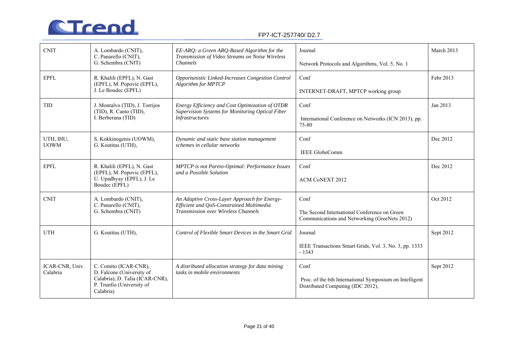

| <b>CNIT</b>                 | A. Lombardo (CNIT),<br>C. Panarello (CNIT),<br>G. Schembra (CNIT)         | EE-ARQ: a Green ARQ-Based Algorithm for the<br>Transmission of Video Streams on Noise Wireless<br>Channels | Journal                                                                                       | March 2013 |
|-----------------------------|---------------------------------------------------------------------------|------------------------------------------------------------------------------------------------------------|-----------------------------------------------------------------------------------------------|------------|
|                             |                                                                           |                                                                                                            | Network Protocols and Algorithms, Vol. 5, No. 1                                               |            |
| <b>EPFL</b>                 | R. Khalili (EPFL), N. Gast<br>(EPFL), M. Popovic (EPFL),                  | Opportunistic Linked-Increases Congestion Control<br>Algorithm for MPTCP                                   | Conf                                                                                          | Febr 2013  |
|                             | J. Le Boudec (EPFL)                                                       |                                                                                                            | INTERNET-DRAFT, MPTCP working group                                                           |            |
| <b>TID</b>                  | J. Montalvo (TID), J. Torrijos<br>(TID), R. Canto (TID),                  | Energy Efficiency and Cost Optimization of OTDR<br>Supervision Systems for Monitoring Optical Fiber        | Conf                                                                                          | Jan 2013   |
|                             | I. Berberana (TID)                                                        | <b>Infrastructures</b>                                                                                     | International Conference on Networks (ICN 2013), pp.<br>75-80                                 |            |
| UTH, IHU,<br><b>UOWM</b>    | S. Kokkinogenis (UOWM),<br>G. Koutitas (UTH),                             | Dynamic and static base station management<br>schemes in cellular networks                                 | Conf                                                                                          | Dec 2012   |
|                             |                                                                           |                                                                                                            | <b>IEEE GlobeComm</b>                                                                         |            |
| <b>EPFL</b>                 | R. Khalili (EPFL), N. Gast<br>(EPFL), M. Popovic (EPFL),                  | MPTCP is not Pareto-Optimal: Performance Issues<br>and a Possible Solution                                 | Conf                                                                                          | Dec 2012   |
|                             | U. Upadhyay (EPFL), J. Le<br>Boudec (EPFL)                                |                                                                                                            | ACM CoNEXT 2012                                                                               |            |
| <b>CNIT</b>                 | A. Lombardo (CNIT),<br>C. Panarello (CNIT),                               | An Adaptive Cross-Layer Approach for Energy-<br>Efficient and QoS-Constrained Multimedia                   | Conf                                                                                          | Oct 2012   |
|                             | G. Schembra (CNIT)                                                        | Transmission over Wireless Channels                                                                        | The Second International Conference on Green<br>Communications and Networking (GreeNets 2012) |            |
| <b>UTH</b>                  | G. Koutitas (UTH),                                                        | Control of Flexible Smart Devices in the Smart Grid                                                        | Journal                                                                                       | Sept 2012  |
|                             |                                                                           |                                                                                                            | IEEE Transactions Smart Grids, Vol. 3, No. 3, pp. 1333<br>$-1343$                             |            |
| ICAR-CNR, Univ.<br>Calabria | C. Comito (ICAR-CNR),<br>D. Falcone (University of                        | A distributed allocation strategy for data mining<br>tasks in mobile environments                          | Conf                                                                                          | Sept 2012  |
|                             | Calabria), D. Talia (ICAR-CNR),<br>P. Trunfio (University of<br>Calabria) |                                                                                                            | Proc. of the 6th International Symposium on Intelligent<br>Distributed Computing (IDC 2012),  |            |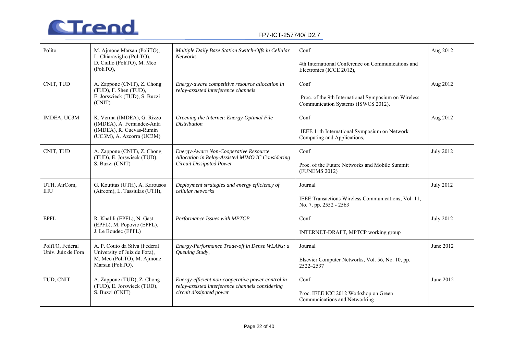

| Polito                                | M. Ajmone Marsan (PoliTO),<br>L. Chiaraviglio (PoliTO),<br>D. Ciullo (PoliTO), M. Meo<br>$(PolITO)$ ,             | Multiple Daily Base Station Switch-Offs in Cellular<br><b>Networks</b>                                                            | Conf<br>4th International Conference on Communications and<br>Electronics (ICCE 2012),              | Aug 2012         |
|---------------------------------------|-------------------------------------------------------------------------------------------------------------------|-----------------------------------------------------------------------------------------------------------------------------------|-----------------------------------------------------------------------------------------------------|------------------|
| CNIT, TUD                             | A. Zappone (CNIT), Z. Chong<br>(TUD), F. Shen (TUD),<br>E. Jorswieck (TUD), S. Buzzi<br>(CNIT)                    | Energy-aware competitive resource allocation in<br>relay-assisted interference channels                                           | Conf<br>Proc. of the 9th International Symposium on Wireless<br>Communication Systems (ISWCS 2012), | Aug 2012         |
| IMDEA, UC3M                           | K. Verma (IMDEA), G. Rizzo<br>(IMDEA), A. Fernandez-Anta<br>(IMDEA), R. Cuevas-Rumin<br>(UC3M), A. Azcorra (UC3M) | Greening the Internet: Energy-Optimal File<br><b>Distribution</b>                                                                 | Conf<br>IEEE 11th International Symposium on Network<br>Computing and Applications,                 | Aug 2012         |
| CNIT, TUD                             | A. Zappone (CNIT), Z. Chong<br>(TUD), E. Jorswieck (TUD),<br>S. Buzzi (CNIT)                                      | Energy-Aware Non-Cooperative Resource<br>Allocation in Relay-Assisted MIMO IC Considering<br><b>Circuit Dissipated Power</b>      | Conf<br>Proc. of the Future Networks and Mobile Summit<br>(FUNEMS 2012)                             | <b>July 2012</b> |
| UTH, AirCom,<br><b>IHU</b>            | G. Koutitas (UTH), A. Karousos<br>(Aircom), L. Tassiulas (UTH),                                                   | Deployment strategies and energy efficiency of<br>cellular networks                                                               | Journal<br>IEEE Transactions Wireless Communications, Vol. 11,<br>No. 7, pp. 2552 - 2563            | <b>July 2012</b> |
| <b>EPFL</b>                           | R. Khalili (EPFL), N. Gast<br>(EPFL), M. Popovic (EPFL),<br>J. Le Boudec (EPFL)                                   | Performance Issues with MPTCP                                                                                                     | Conf<br>INTERNET-DRAFT, MPTCP working group                                                         | <b>July 2012</b> |
| PoliTO, Federal<br>Univ. Juiz de Fora | A. P. Couto da Silva (Federal<br>University of Juiz de Fora),<br>M. Meo (PoliTO), M. Ajmone<br>Marsan (PoliTO),   | Energy-Performance Trade-off in Dense WLANs: a<br>Queuing Study,                                                                  | Journal<br>Elsevier Computer Networks, Vol. 56, No. 10, pp.<br>2522-2537                            | June 2012        |
| TUD, CNIT                             | A. Zappone (TUD), Z. Chong<br>(TUD), E. Jorswieck (TUD),<br>S. Buzzi (CNIT)                                       | Energy-efficient non-cooperative power control in<br>relay-assisted interference channels considering<br>circuit dissipated power | Conf<br>Proc. IEEE ICC 2012 Workshop on Green<br>Communications and Networking                      | June 2012        |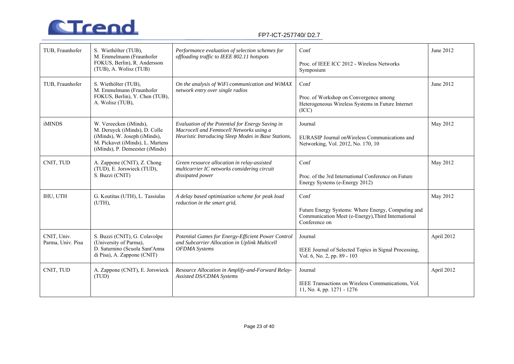

| TUB, Fraunhofer                  | S. Wiethölter (TUB),<br>M. Emmelmann (Fraunhofer<br>FOKUS, Berlin), R. Andersson<br>(TUB), A. Wolisz (TUB)                                                      | Performance evaluation of selection schemes for<br>offloading traffic to IEEE 802.11 hotspots                                                       | Conf<br>Proc. of IEEE ICC 2012 - Wireless Networks<br>Symposium                                                                               | June 2012  |
|----------------------------------|-----------------------------------------------------------------------------------------------------------------------------------------------------------------|-----------------------------------------------------------------------------------------------------------------------------------------------------|-----------------------------------------------------------------------------------------------------------------------------------------------|------------|
| TUB, Fraunhofer                  | S. Wiethölter (TUB),<br>M. Emmelmann (Fraunhofer<br>FOKUS, Berlin), Y. Chen (TUB),<br>A. Wolisz (TUB),                                                          | On the analysis of WiFi communication and WiMAX<br>network entry over single radios                                                                 | Conf<br>Proc. of Workshop on Convergence among<br>Heterogeneous Wireless Systems in Future Internet<br>(ICC)                                  | June 2012  |
| <b>iMINDS</b>                    | W. Vereecken (iMinds),<br>M. Deruyck (iMinds), D. Colle<br>(iMinds), W. Joseph (iMinds),<br>M. Pickavet (iMinds), L. Martens<br>(iMinds), P. Demeester (iMinds) | Evaluation of the Potential for Energy Saving in<br>Macrocell and Femtocell Networks using a<br>Heuristic Introducing Sleep Modes in Base Stations, | May 2012<br>Journal<br>EURASIP Journal on Wireless Communications and<br>Networking, Vol. 2012, No. 170, 10                                   |            |
| CNIT, TUD                        | A. Zappone (CNIT), Z. Chong<br>(TUD), E. Jorswieck (TUD),<br>S. Buzzi (CNIT)                                                                                    | Green resource allocation in relay-assisted<br>multicarrier IC networks considering circuit<br>dissipated power                                     | Conf<br>May 2012<br>Proc. of the 3rd International Conference on Future<br>Energy Systems (e-Energy 2012)                                     |            |
| IHU, UTH                         | G. Koutitas (UTH), L. Tassiulas<br>(UTH),                                                                                                                       | A delay based optimization scheme for peak load<br>reduction in the smart grid,                                                                     | Conf<br>May 2012<br>Future Energy Systems: Where Energy, Computing and<br>Communication Meet (e-Energy), Third International<br>Conference on |            |
| CNIT, Univ.<br>Parma, Univ. Pisa | S. Buzzi (CNIT), G. Colavolpe<br>(University of Parma),<br>D. Saturnino (Scuola Sant'Anna<br>di Pisa), A. Zappone (CNIT)                                        | Potential Games for Energy-Efficient Power Control<br>and Subcarrier Allocation in Uplink Multicell<br><b>OFDMA</b> Systems                         | April 2012<br>Journal<br>IEEE Journal of Selected Topics in Signal Processing,<br>Vol. 6, No. 2, pp. 89 - 103                                 |            |
| CNIT, TUD                        | A. Zappone (CNIT), E. Jorswieck<br>(TUD)                                                                                                                        | Resource Allocation in Amplify-and-Forward Relay-<br>Assisted DS/CDMA Systems                                                                       | Journal<br>IEEE Transactions on Wireless Communications, Vol.<br>11, No. 4, pp. 1271 - 1276                                                   | April 2012 |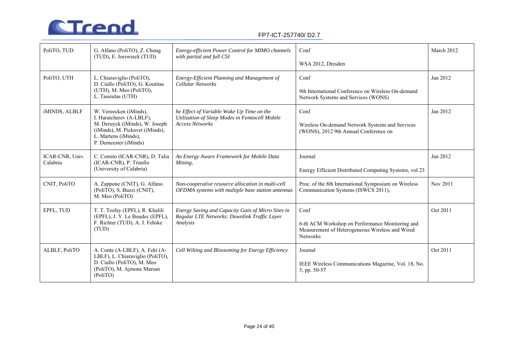

| PoliTO, TUD     | G. Alfano (PoliTO), Z. Chong<br>(TUD), E. Jorswieck (TUD)                                                                                                                | Energy-efficient Power Control for MIMO channels<br>with partial and full CSI                                         | Conf                                                                                                                  | March 2012 |
|-----------------|--------------------------------------------------------------------------------------------------------------------------------------------------------------------------|-----------------------------------------------------------------------------------------------------------------------|-----------------------------------------------------------------------------------------------------------------------|------------|
|                 |                                                                                                                                                                          |                                                                                                                       | WSA 2012, Dresden                                                                                                     |            |
| PoliTO, UTH     | L. Chiaraviglio (PoliTO),<br>D. Ciullo (PoliTO), G. Koutitas                                                                                                             | Energy-Efficient Planning and Management of<br>Cellular Networks                                                      | Conf                                                                                                                  | Jan 2012   |
|                 | (UTH), M. Meo (PoliTO),<br>L. Tassiulas (UTH)                                                                                                                            |                                                                                                                       | 9th International Conference on Wireless On-demand<br>Network Systems and Services (WONS)                             |            |
| iMINDS, ALBLF   | W. Vereecken (iMinds),<br>I. Haratcherev (A-LBLF),<br>M. Deruyck (iMinds), W. Joseph<br>(iMinds), M. Pickavet (iMinds),<br>L. Martens (iMinds),<br>P. Demeester (iMinds) | he Effect of Variable Wake Up Time on the<br>Utilization of Sleep Modes in Femtocell Mobile<br><b>Access Networks</b> | Conf<br>Jan 2012<br>Wireless On-demand Network Systems and Services<br>(WONS), 2012 9th Annual Conference on          |            |
| ICAR-CNR, Univ. |                                                                                                                                                                          |                                                                                                                       | Journal                                                                                                               | Jan 2012   |
| Calabria        | C. Comito (ICAR-CNR), D. Talia<br>(ICAR-CNR), P. Trunfio<br>(University of Calabria)                                                                                     | An Energy Aware Framework for Mobile Data<br>Mining,                                                                  | Energy Efficient Distributed Computing Systems, vol 23                                                                |            |
| CNIT, PoliTO    | A. Zappone (CNIT), G. Alfano<br>(PoliTO), S. Buzzi (CNIT),<br>M. Meo (PoliTO)                                                                                            | Non-cooperative resource allocation in multi-cell<br>OFDMA systems with multiple base station antennas                | Proc. of the 8th International Symposium on Wireless<br>Nov 2011<br>Communication Systems (ISWCS 2011),               |            |
| EPFL, TUD       | T. T. Tesfay (EPFL), R. Khalili                                                                                                                                          | Energy Saving and Capacity Gain of Micro Sites in                                                                     | Conf                                                                                                                  | Oct 2011   |
|                 | (EPFL), J. Y. Le Boudec (EPFL),<br>F. Richter (TUD), A. J. Fehske<br>(TUD)                                                                                               | Regular LTE Networks: Downlink Traffic Layer<br>Analysis                                                              | 6-th ACM Workshop on Performance Monitoring and<br>Measurement of Heterogeneous Wireless and Wired<br><b>Networks</b> |            |
| ALBLF, PoliTO   | A. Conte (A-LBLF), A. Feki (A-<br>LBLF), L. Chiaraviglio (PoliTO),<br>D. Ciullo (PoliTO), M. Meo                                                                         | Cell Wilting and Blossoming for Energy Efficiency                                                                     | Journal<br>IEEE Wireless Communications Magazine, Vol. 18, No.                                                        | Oct 2011   |
|                 | (PoliTO), M. Ajmone Marsan<br>(PoliTO)                                                                                                                                   |                                                                                                                       | 5, pp. 50-57                                                                                                          |            |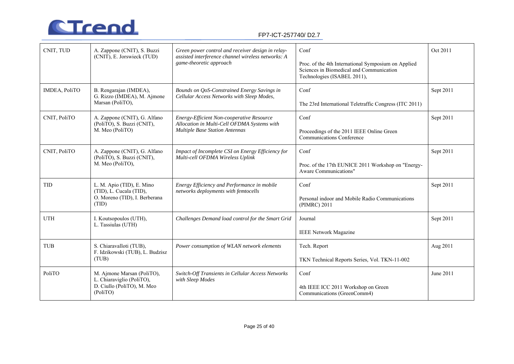

| CNIT, TUD     | A. Zappone (CNIT), S. Buzzi<br>(CNIT), E. Jorswieck (TUD)                                         | Conf<br>Green power control and receiver design in relay-<br>assisted interference channel wireless networks: A<br>game-theoretic approach<br>Proc. of the 4th International Symposium on Applied<br>Sciences in Biomedical and Communication<br>Technologies (ISABEL 2011), |                                                                                                    | Oct 2011  |
|---------------|---------------------------------------------------------------------------------------------------|------------------------------------------------------------------------------------------------------------------------------------------------------------------------------------------------------------------------------------------------------------------------------|----------------------------------------------------------------------------------------------------|-----------|
| IMDEA, PoliTO | B. Rengarajan (IMDEA),<br>G. Rizzo (IMDEA), M. Ajmone<br>Marsan (PoliTO),                         | Bounds on QoS-Constrained Energy Savings in<br>Cellular Access Networks with Sleep Modes,                                                                                                                                                                                    | Conf<br>Sept 2011<br>The 23rd International Teletraffic Congress (ITC 2011)                        |           |
| CNIT, PoliTO  | A. Zappone (CNIT), G. Alfano<br>(PoliTO), S. Buzzi (CNIT),<br>M. Meo (PoliTO)                     | Energy-Efficient Non-cooperative Resource<br>Allocation in Multi-Cell OFDMA Systems with<br><b>Multiple Base Station Antennas</b>                                                                                                                                            | Sept 2011<br>Conf<br>Proceedings of the 2011 IEEE Online Green<br><b>Communications Conference</b> |           |
| CNIT, PoliTO  | A. Zappone (CNIT), G. Alfano<br>(PoliTO), S. Buzzi (CNIT),<br>M. Meo (PoliTO),                    | Impact of Incomplete CSI on Energy Efficiency for<br>Conf<br>Multi-cell OFDMA Wireless Uplink<br>Proc. of the 17th EUNICE 2011 Workshop on "Energy-<br>Aware Communications"                                                                                                 |                                                                                                    | Sept 2011 |
| <b>TID</b>    | L. M. Apio (TID), E. Mino<br>(TID), L. Cucala (TID),<br>O. Moreno (TID), I. Berberana<br>(TID)    | Energy Efficiency and Performance in mobile<br>networks deployments with femtocells                                                                                                                                                                                          | Sept 2011<br>Conf<br>Personal indoor and Mobile Radio Communications<br>(PIMRC) 2011               |           |
| <b>UTH</b>    | I. Koutsopoulos (UTH),<br>L. Tassiulas (UTH)                                                      | Challenges Demand load control for the Smart Grid                                                                                                                                                                                                                            | Sept 2011<br>Journal<br><b>IEEE Network Magazine</b>                                               |           |
| <b>TUB</b>    | S. Chiaravalloti (TUB),<br>F. Idzikowski (TUB), L. Budzisz<br>(TUB)                               | Power consumption of WLAN network elements                                                                                                                                                                                                                                   | Tech. Report<br>Aug 2011<br>TKN Technical Reports Series, Vol. TKN-11-002                          |           |
| PoliTO        | M. Ajmone Marsan (PoliTO),<br>L. Chiaraviglio (PoliTO),<br>D. Ciullo (PoliTO), M. Meo<br>(PoliTO) | Switch-Off Transients in Cellular Access Networks<br>Conf<br>with Sleep Modes<br>4th IEEE ICC 2011 Workshop on Green<br>Communications (GreenComm4)                                                                                                                          |                                                                                                    | June 2011 |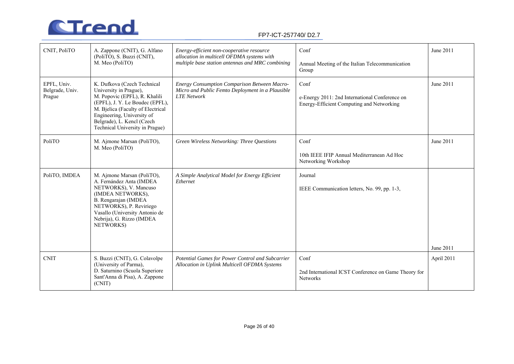

| CNIT, PoliTO                             | A. Zappone (CNIT), G. Alfano<br>(PoliTO), S. Buzzi (CNIT),<br>M. Meo (PoliTO)                                                                                                                                                                                 | Energy-efficient non-cooperative resource<br>allocation in multicell OFDMA systems with<br>multiple base station antennas and MRC combining | Conf<br>Annual Meeting of the Italian Telecommunication<br>Group                                    | June 2011  |
|------------------------------------------|---------------------------------------------------------------------------------------------------------------------------------------------------------------------------------------------------------------------------------------------------------------|---------------------------------------------------------------------------------------------------------------------------------------------|-----------------------------------------------------------------------------------------------------|------------|
| EPFL, Univ.<br>Belgrade, Univ.<br>Prague | K. Dufkova (Czech Technical<br>University in Prague),<br>M. Popovic (EPFL), R. Khalili<br>(EPFL), J. Y. Le Boudec (EPFL),<br>M. Bjelica (Faculty of Electrical<br>Engineering, University of<br>Belgrade), L. Kencl (Czech<br>Technical University in Prague) | <b>Energy Consumption Comparison Between Macro-</b><br>Micro and Public Femto Deployment in a Plausible<br><b>LTE</b> Network               | Conf<br>e-Energy 2011: 2nd International Conference on<br>Energy-Efficient Computing and Networking | June 2011  |
| PoliTO                                   | M. Ajmone Marsan (PoliTO),<br>M. Meo (PoliTO)                                                                                                                                                                                                                 | Green Wireless Networking: Three Questions                                                                                                  | Conf<br>10th IEEE IFIP Annual Mediterranean Ad Hoc<br>Networking Workshop                           | June 2011  |
| PoliTO, IMDEA                            | M. Ajmone Marsan (PoliTO),<br>A. Fernández Anta (IMDEA<br>NETWORKS), V. Mancuso<br>(IMDEA NETWORKS),<br>B. Rengarajan (IMDEA<br>NETWORKS), P. Reviriego<br>Vasallo (University Antonio de<br>Nebrija), G. Rizzo (IMDEA<br>NETWORKS)                           | A Simple Analytical Model for Energy Efficient<br>Ethernet                                                                                  | Journal<br>IEEE Communication letters, No. 99, pp. 1-3,                                             | June 2011  |
| <b>CNIT</b>                              | S. Buzzi (CNIT), G. Colavolpe<br>(University of Parma),<br>D. Saturnino (Scuola Superiore<br>Sant'Anna di Pisa), A. Zappone<br>(CNIT)                                                                                                                         | Potential Games for Power Control and Subcarrier<br>Allocation in Uplink Multicell OFDMA Systems                                            | Conf<br>2nd International ICST Conference on Game Theory for<br><b>Networks</b>                     | April 2011 |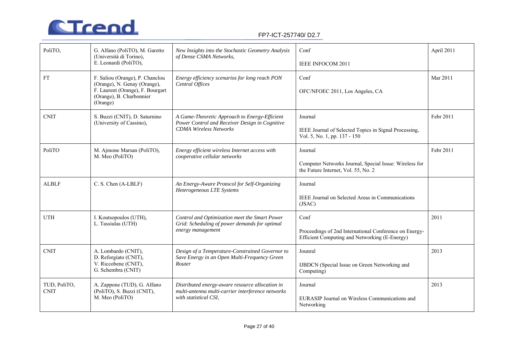

| PoliTO,                     | G. Alfano (PoliTO), M. Garetto<br>(Università di Torino),<br>E. Leonardi (PoliTO),                                                          | New Insights into the Stochastic Geometry Analysis<br>of Dense CSMA Networks,                                                    | Conf<br>IEEE INFOCOM 2011                                                                                               | April 2011 |
|-----------------------------|---------------------------------------------------------------------------------------------------------------------------------------------|----------------------------------------------------------------------------------------------------------------------------------|-------------------------------------------------------------------------------------------------------------------------|------------|
| <b>FT</b>                   | F. Saliou (Orange), P. Chanclou<br>(Orange), N. Genay (Orange),<br>F. Laurent (Orange), F. Bourgart<br>(Orange), B. Charbonnier<br>(Orange) | Energy efficiency scenarios for long reach PON<br>Central Offices                                                                | Conf<br>OFC/NFOEC 2011, Los Angeles, CA                                                                                 | Mar 2011   |
| <b>CNIT</b>                 | S. Buzzi (CNIT), D. Saturnino<br>(University of Cassino),                                                                                   | A Game-Theoretic Approach to Energy-Efficient<br>Power Control and Receiver Design in Cognitive<br><b>CDMA Wireless Networks</b> | Journal<br>IEEE Journal of Selected Topics in Signal Processing,<br>Vol. 5, No. 1, pp. 137 - 150                        | Febr 2011  |
| PoliTO                      | M. Ajmone Marsan (PoliTO),<br>M. Meo (PoliTO)                                                                                               | Energy efficient wireless Internet access with<br>cooperative cellular networks                                                  | Journal<br>Computer Networks Journal, Special Issue: Wireless for<br>the Future Internet, Vol. 55, No. 2                | Febr 2011  |
| <b>ALBLF</b>                | C. S. Chen (A-LBLF)                                                                                                                         | An Energy-Aware Protocol for Self-Organizing<br>Heterogeneous LTE Systems                                                        | Journal<br>IEEE Journal on Selected Areas in Communications<br>(JSAC)                                                   |            |
| <b>UTH</b>                  | I. Koutsopoulos (UTH),<br>L. Tassiulas (UTH)                                                                                                | Control and Optimization meet the Smart Power<br>Grid: Scheduling of power demands for optimal<br>energy management              | Conf<br>2011<br>Proceedings of 2nd International Conference on Energy-<br>Efficient Computing and Networking (E-Energy) |            |
| <b>CNIT</b>                 | A. Lombardo (CNIT),<br>D. Reforgiato (CNIT),<br>V. Riccobene (CNIT),<br>G. Schembra (CNIT)                                                  | Design of a Temperature-Constrained Governor to<br>Save Energy in an Open Multi-Frequency Green<br>Router                        | Jounral<br>IJBDCN (Special Issue on Green Networking and<br>Computing)                                                  | 2013       |
| TUD, PoliTO,<br><b>CNIT</b> | A. Zappone (TUD), G. Alfano<br>(PoliTO), S. Buzzi (CNIT),<br>M. Meo (PoliTO)                                                                | Distributed energy-aware resource allocation in<br>multi-antenna multi-carrier interference networks<br>with statistical CSI,    | 2013<br>Journal<br>EURASIP Journal on Wireless Communications and<br>Networking                                         |            |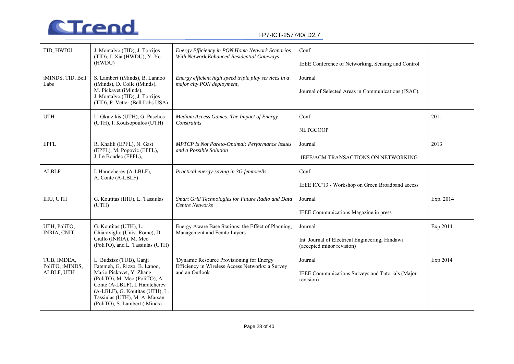

| TID, HWDU                                    | J. Montalvo (TID), J. Torrijos<br>(TID), J. Xia (HWDU), Y. Ye<br>(HWDU)                                                                                                                                                                                     | Energy Efficiency in PON Home Network Scenarios<br>With Network Enhanced Residential Gateways                   | Conf<br>IEEE Conference of Networking, Sensing and Control                              |          |
|----------------------------------------------|-------------------------------------------------------------------------------------------------------------------------------------------------------------------------------------------------------------------------------------------------------------|-----------------------------------------------------------------------------------------------------------------|-----------------------------------------------------------------------------------------|----------|
| iMINDS, TID, Bell<br>Labs                    | S. Lambert (iMinds), B. Lannoo<br>(iMinds), D. Colle (iMinds),<br>M. Pickavet (iMinds),<br>J. Montalvo (TID), J. Torrijos<br>(TID), P. Vetter (Bell Labs USA)                                                                                               | Energy efficient high speed triple play services in a<br>major city PON deployment,                             | Journal<br>Journal of Selected Areas in Communications (JSAC),                          |          |
| <b>UTH</b>                                   | L. Gkatzikis (UTH), G. Paschos<br>(UTH), I. Koutsopoulos (UTH)                                                                                                                                                                                              | Medium Access Games: The Impact of Energy<br>Constraints                                                        | Conf<br>2011<br><b>NETGCOOP</b>                                                         |          |
| <b>EPFL</b>                                  | R. Khalili (EPFL), N. Gast<br>(EPFL), M. Popovic (EPFL),<br>J. Le Boudec (EPFL),                                                                                                                                                                            | <b>MPTCP</b> Is Not Pareto-Optimal: Performance Issues<br>and a Possible Solution                               | 2013<br>Journal<br>IEEE/ACM TRANSACTIONS ON NETWORKING                                  |          |
| <b>ALBLF</b>                                 | I. Haratcherev (A-LBLF),<br>A. Conte (A-LBLF)                                                                                                                                                                                                               | Practical energy-saving in 3G femtocells                                                                        | Conf<br>IEEE ICC'13 - Workshop on Green Broadband access                                |          |
| IHU, UTH                                     | G. Koutitas (IHU), L. Tassiulas<br>(UTH)                                                                                                                                                                                                                    | Smart Grid Technologies for Future Radio and Data<br><b>Centre Networks</b>                                     | Exp. 2014<br>Journal<br>IEEE Communications Magazine, in press                          |          |
| UTH, PoliTO,<br><b>INRIA, CNIT</b>           | G. Koutitas (UTH), L.<br>Chiaraviglio (Univ. Rome), D.<br>Ciullo (INRIA), M. Meo<br>(PoliTO), and L. Tassiulas (UTH)                                                                                                                                        | Energy Aware Base Stations: the Effect of Planning,<br>Management and Femto Layers                              | Journal<br>Int. Journal of Electrical Engineering, Hindawi<br>(accepted minor revision) | Exp 2014 |
| TUB, IMDEA,<br>PoliTO, iMINDS,<br>ALBLF, UTH | L. Budzisz (TUB), Ganji<br>Fatemeh, G. Rizzo, B. Lanoo,<br>Mario Pickavet, Y. Zhang<br>(PoliTO), M. Meo (PoliTO), A.<br>Conte (A-LBLF), I. Haratcherev<br>(A-LBLF), G. Koutitas (UTH), L.<br>Tassiulas (UTH), M. A. Marsan<br>(PoliTO), S. Lambert (iMinds) | 'Dynamic Resource Provisioning for Energy<br>Efficiency in Wireless Access Networks: a Survey<br>and an Outlook | Journal<br>IEEE Communications Surveys and Tutorials (Major<br>revision)                | Exp 2014 |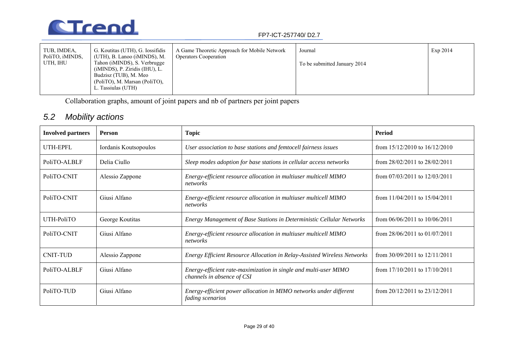

| TUB, IMDEA,<br>PoliTO, iMINDS, | G. Koutitas (UTH), G. Iossifidis<br>(UTH), B. Lanoo (iMINDS), M.                                                                                    | A Game Theoretic Approach for Mobile Network<br><b>Operators Cooperation</b> | Journal                      | Exp 2014 |
|--------------------------------|-----------------------------------------------------------------------------------------------------------------------------------------------------|------------------------------------------------------------------------------|------------------------------|----------|
| UTH, IHU                       | Tahon (iMINDS), S. Verbrugge<br>$(iMINDS)$ , P. Ziridis $(HU)$ , L.<br>Budzisz (TUB), M. Meo<br>(PoliTO), M. Marsan (PoliTO),<br>L. Tassiulas (UTH) |                                                                              | To be submitted January 2014 |          |

Collaboration graphs, amount of joint papers and nb of partners per joint papers

## *5.2 Mobility actions*

| <b>Involved partners</b> | Person                | <b>Topic</b>                                                                                   | Period                            |
|--------------------------|-----------------------|------------------------------------------------------------------------------------------------|-----------------------------------|
| UTH-EPFL                 | Iordanis Koutsopoulos | User association to base stations and femtocell fairness issues                                | from $15/12/2010$ to $16/12/2010$ |
| PoliTO-ALBLF             | Delia Ciullo          | Sleep modes adoption for base stations in cellular access networks                             | from $28/02/2011$ to $28/02/2011$ |
| PoliTO-CNIT              | Alessio Zappone       | Energy-efficient resource allocation in multiuser multicell MIMO<br>networks                   | from $07/03/2011$ to $12/03/2011$ |
| PoliTO-CNIT              | Giusi Alfano          | Energy-efficient resource allocation in multiuser multicell MIMO<br>networks                   | from $11/04/2011$ to $15/04/2011$ |
| UTH-PoliTO               | George Koutitas       | Energy Management of Base Stations in Deterministic Cellular Networks                          | from $06/06/2011$ to $10/06/2011$ |
| PoliTO-CNIT              | Giusi Alfano          | Energy-efficient resource allocation in multiuser multicell MIMO<br>networks                   | from $28/06/2011$ to $01/07/2011$ |
| <b>CNIT-TUD</b>          | Alessio Zappone       | Energy Efficient Resource Allocation in Relay-Assisted Wireless Networks                       | from $30/09/2011$ to $12/11/2011$ |
| PoliTO-ALBLF             | Giusi Alfano          | Energy-efficient rate-maximization in single and multi-user MIMO<br>channels in absence of CSI | from $17/10/2011$ to $17/10/2011$ |
| PoliTO-TUD               | Giusi Alfano          | Energy-efficient power allocation in MIMO networks under different<br>fading scenarios         | from $20/12/2011$ to $23/12/2011$ |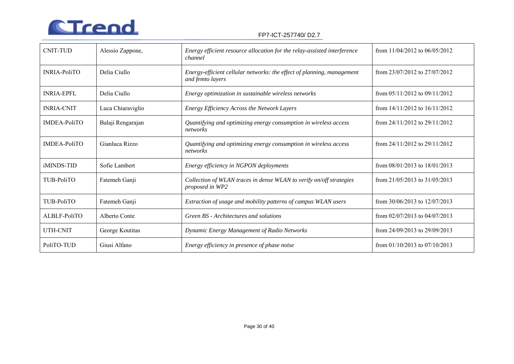

| <b>CNIT-TUD</b>     | Alessio Zappone,  | Energy efficient resource allocation for the relay-assisted interference<br>channel        | from $11/04/2012$ to $06/05/2012$ |
|---------------------|-------------------|--------------------------------------------------------------------------------------------|-----------------------------------|
| <b>INRIA-PoliTO</b> | Delia Ciullo      | Energy-efficient cellular networks: the effect of planning, management<br>and femto layers | from $23/07/2012$ to $27/07/2012$ |
| <b>INRIA-EPFL</b>   | Delia Ciullo      | Energy optimization in sustainable wireless networks                                       | from $05/11/2012$ to $09/11/2012$ |
| <b>INRIA-CNIT</b>   | Luca Chiaraviglio | Energy Efficiency Across the Network Layers                                                | from $14/11/2012$ to $16/11/2012$ |
| <b>IMDEA-PoliTO</b> | Balaji Rengarajan | Quantifying and optimizing energy consumption in wireless access<br>networks               | from $24/11/2012$ to $29/11/2012$ |
| <b>IMDEA-PoliTO</b> | Gianluca Rizzo    | Quantifying and optimizing energy consumption in wireless access<br>networks               | from $24/11/2012$ to $29/11/2012$ |
| <i>iMINDS-TID</i>   | Sofie Lambert     | Energy efficiency in NGPON deployments                                                     | from $08/01/2013$ to $18/01/2013$ |
| TUB-PoliTO          | Fatemeh Ganji     | Collection of WLAN traces in dense WLAN to verify on/off strategies<br>proposed in WP2     | from $21/05/2013$ to $31/05/2013$ |
| TUB-PoliTO          | Fatemeh Ganji     | Extraction of usage and mobility patterns of campus WLAN users                             | from $30/06/2013$ to $12/07/2013$ |
| ALBLF-PoliTO        | Alberto Conte     | Green BS - Architectures and solutions                                                     | from $02/07/2013$ to $04/07/2013$ |
| <b>UTH-CNIT</b>     | George Koutitas   | Dynamic Energy Management of Radio Networks                                                | from $24/09/2013$ to $29/09/2013$ |
| PoliTO-TUD          | Giusi Alfano      | Energy efficiency in presence of phase noise                                               | from $01/10/2013$ to $07/10/2013$ |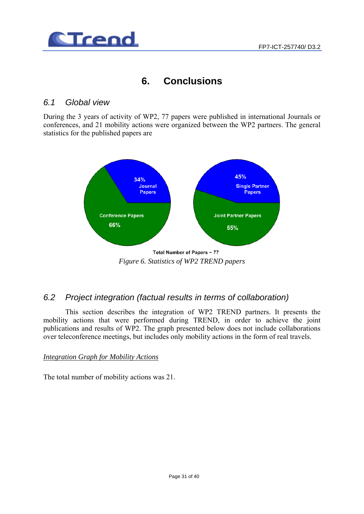

## **6. Conclusions**

## *6.1 Global view*

During the 3 years of activity of WP2, 77 papers were published in international Journals or conferences, and 21 mobility actions were organized between the WP2 partners. The general statistics for the published papers are



Total Number of Papers ~ 77 *Figure 6. Statistics of WP2 TREND papers* 

## *6.2 Project integration (factual results in terms of collaboration)*

This section describes the integration of WP2 TREND partners. It presents the mobility actions that were performed during TREND, in order to achieve the joint publications and results of WP2. The graph presented below does not include collaborations over teleconference meetings, but includes only mobility actions in the form of real travels.

### *Integration Graph for Mobility Actions*

The total number of mobility actions was 21.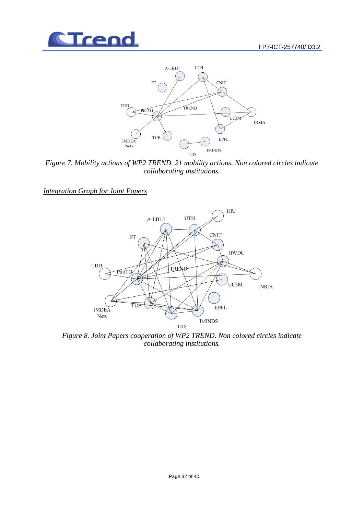



*Figure 7. Mobility actions of WP2 TREND. 21 mobility actions. Non colored circles indicate collaborating institutions.* 

*Integration Graph for Joint Papers*



*Figure 8. Joint Papers cooperation of WP2 TREND. Non colored circles indicate collaborating institutions.*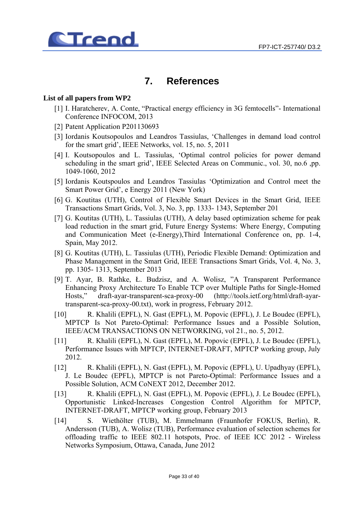

## **7. References**

#### **List of all papers from WP2**

- [1] I. Haratcherev, A. Conte, "Practical energy efficiency in 3G femtocells"- International Conference INFOCOM, 2013
- [2] Patent Application P201130693
- [3] Iordanis Koutsopoulos and Leandros Tassiulas, 'Challenges in demand load control for the smart grid', IEEE Networks, vol. 15, no. 5, 2011
- [4] I. Koutsopoulos and L. Tassiulas, 'Optimal control policies for power demand scheduling in the smart grid', IEEE Selected Areas on Communic., vol. 30, no.6 ,pp. 1049-1060, 2012
- [5] Iordanis Koutspoulos and Leandros Tassiulas 'Optimization and Control meet the Smart Power Grid', e Energy 2011 (New York)
- [6] G. Koutitas (UTH), Control of Flexible Smart Devices in the Smart Grid, IEEE Transactions Smart Grids, Vol. 3, No. 3, pp. 1333- 1343, September 201
- [7] G. Koutitas (UTH), L. Tassiulas (UTH), A delay based optimization scheme for peak load reduction in the smart grid, Future Energy Systems: Where Energy, Computing and Communication Meet (e-Energy),Third International Conference on, pp. 1-4, Spain, May 2012.
- [8] G. Koutitas (UTH), L. Tassiulas (UTH), Periodic Flexible Demand: Optimization and Phase Management in the Smart Grid, IEEE Transactions Smart Grids, Vol. 4, No. 3, pp. 1305- 1313, September 2013
- [9] T. Ayar, B. Rathke, Ł. Budzisz, and A. Wolisz, "A Transparent Performance Enhancing Proxy Architecture To Enable TCP over Multiple Paths for Single-Homed Hosts," draft-ayar-transparent-sca-proxy-00 (http://tools.ietf.org/html/draft-ayartransparent-sca-proxy-00.txt), work in progress, February 2012.
- [10] R. Khalili (EPFL), N. Gast (EPFL), M. Popovic (EPFL), J. Le Boudec (EPFL), MPTCP Is Not Pareto-Optimal: Performance Issues and a Possible Solution, IEEE/ACM TRANSACTIONS ON NETWORKING, vol 21., no. 5, 2012.
- [11] R. Khalili (EPFL), N. Gast (EPFL), M. Popovic (EPFL), J. Le Boudec (EPFL), Performance Issues with MPTCP, INTERNET-DRAFT, MPTCP working group, July 2012.
- [12] R. Khalili (EPFL), N. Gast (EPFL), M. Popovic (EPFL), U. Upadhyay (EPFL), J. Le Boudec (EPFL), MPTCP is not Pareto-Optimal: Performance Issues and a Possible Solution, ACM CoNEXT 2012, December 2012.
- [13] R. Khalili (EPFL), N. Gast (EPFL), M. Popovic (EPFL), J. Le Boudec (EPFL), Opportunistic Linked-Increases Congestion Control Algorithm for MPTCP, INTERNET-DRAFT, MPTCP working group, February 2013
- [14] S. Wiethölter (TUB), M. Emmelmann (Fraunhofer FOKUS, Berlin), R. Andersson (TUB), A. Wolisz (TUB), Performance evaluation of selection schemes for offloading traffic to IEEE 802.11 hotspots, Proc. of IEEE ICC 2012 - Wireless Networks Symposium, Ottawa, Canada, June 2012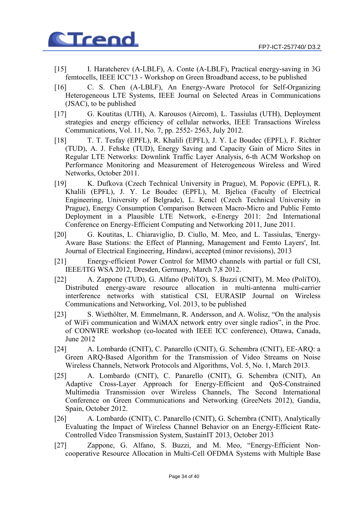

- [15] I. Haratcherev (A-LBLF), A. Conte (A-LBLF), Practical energy-saving in 3G femtocells, IEEE ICC'13 - Workshop on Green Broadband access, to be published
- [16] C. S. Chen (A-LBLF), An Energy-Aware Protocol for Self-Organizing Heterogeneous LTE Systems, IEEE Journal on Selected Areas in Communications (JSAC), to be published
- [17] G. Koutitas (UTH), A. Karousos (Aircom), L. Tassiulas (UTH), Deployment strategies and energy efficiency of cellular networks, IEEE Transactions Wireless Communications, Vol. 11, No. 7, pp. 2552- 2563, July 2012.
- [18] T. T. Tesfay (EPFL), R. Khalili (EPFL), J. Y. Le Boudec (EPFL), F. Richter (TUD), A. J. Fehske (TUD), Energy Saving and Capacity Gain of Micro Sites in Regular LTE Networks: Downlink Traffic Layer Analysis, 6-th ACM Workshop on Performance Monitoring and Measurement of Heterogeneous Wireless and Wired Networks, October 2011.
- [19] K. Dufkova (Czech Technical University in Prague), M. Popovic (EPFL), R. Khalili (EPFL), J. Y. Le Boudec (EPFL), M. Bjelica (Faculty of Electrical Engineering, University of Belgrade), L. Kencl (Czech Technical University in Prague), Energy Consumption Comparison Between Macro-Micro and Public Femto Deployment in a Plausible LTE Network, e-Energy 2011: 2nd International Conference on Energy-Efficient Computing and Networking 2011, June 2011.
- [20] G. Koutitas, L. Chiaraviglio, D. Ciullo, M. Meo, and L. Tassiulas, 'Energy-Aware Base Stations: the Effect of Planning, Management and Femto Layers', Int. Journal of Electrical Engineering, Hindawi, accepted (minor revisions), 2013
- [21] Energy-efficient Power Control for MIMO channels with partial or full CSI, IEEE/ITG WSA 2012, Dresden, Germany, March 7,8 2012.
- [22] A. Zappone (TUD), G. Alfano (PoliTO), S. Buzzi (CNIT), M. Meo (PoliTO), Distributed energy-aware resource allocation in multi-antenna multi-carrier interference networks with statistical CSI, EURASIP Journal on Wireless Communications and Networking, Vol. 2013, to be published
- [23] S. Wiethölter, M. Emmelmann, R. Andersson, and A. Wolisz, "On the analysis of WiFi communication and WiMAX network entry over single radios", in the Proc. of CONWIRE workshop (co-located with IEEE ICC conference), Ottawa, Canada, June 2012
- [24] A. Lombardo (CNIT), C. Panarello (CNIT), G. Schembra (CNIT), EE-ARQ: a Green ARQ-Based Algorithm for the Transmission of Video Streams on Noise Wireless Channels, Network Protocols and Algorithms, Vol. 5, No. 1, March 2013.
- [25] A. Lombardo (CNIT), C. Panarello (CNIT), G. Schembra (CNIT), An Adaptive Cross-Layer Approach for Energy-Efficient and QoS-Constrained Multimedia Transmission over Wireless Channels, The Second International Conference on Green Communications and Networking (GreeNets 2012), Gandia, Spain, October 2012.
- [26] A. Lombardo (CNIT), C. Panarello (CNIT), G. Schembra (CNIT), Analytically Evaluating the Impact of Wireless Channel Behavior on an Energy-Efficient Rate-Controlled Video Transmission System, SustainIT 2013, October 2013
- [27] Zappone, G. Alfano, S. Buzzi, and M. Meo, "Energy-Efficient Noncooperative Resource Allocation in Multi-Cell OFDMA Systems with Multiple Base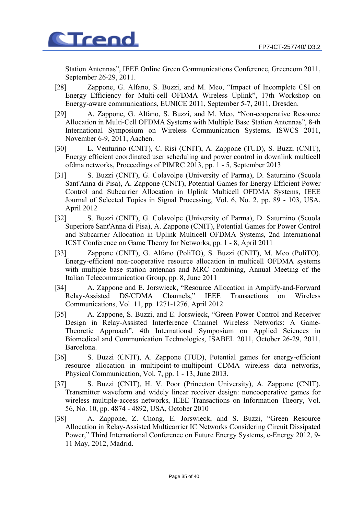

Station Antennas", IEEE Online Green Communications Conference, Greencom 2011, September 26-29, 2011.

- [28] Zappone, G. Alfano, S. Buzzi, and M. Meo, "Impact of Incomplete CSI on Energy Efficiency for Multi-cell OFDMA Wireless Uplink", 17th Workshop on Energy-aware communications, EUNICE 2011, September 5-7, 2011, Dresden.
- [29] A. Zappone, G. Alfano, S. Buzzi, and M. Meo, "Non-cooperative Resource Allocation in Multi-Cell OFDMA Systems with Multiple Base Station Antennas", 8-th International Symposium on Wireless Communication Systems, ISWCS 2011, November 6-9, 2011, Aachen.
- [30] L. Venturino (CNIT), C. Risi (CNIT), A. Zappone (TUD), S. Buzzi (CNIT), Energy efficient coordinated user scheduling and power control in downlink multicell ofdma networks, Proceedings of PIMRC 2013, pp. 1 - 5, September 2013
- [31] S. Buzzi (CNIT), G. Colavolpe (University of Parma), D. Saturnino (Scuola Sant'Anna di Pisa), A. Zappone (CNIT), Potential Games for Energy-Efficient Power Control and Subcarrier Allocation in Uplink Multicell OFDMA Systems, IEEE Journal of Selected Topics in Signal Processing, Vol. 6, No. 2, pp. 89 - 103, USA, April 2012
- [32] S. Buzzi (CNIT), G. Colavolpe (University of Parma), D. Saturnino (Scuola Superiore Sant'Anna di Pisa), A. Zappone (CNIT), Potential Games for Power Control and Subcarrier Allocation in Uplink Multicell OFDMA Systems, 2nd International ICST Conference on Game Theory for Networks, pp. 1 - 8, April 2011
- [33] Zappone (CNIT), G. Alfano (PoliTO), S. Buzzi (CNIT), M. Meo (PoliTO), Energy-efficient non-cooperative resource allocation in multicell OFDMA systems with multiple base station antennas and MRC combining, Annual Meeting of the Italian Telecommunication Group, pp. 8, June 2011
- [34] A. Zappone and E. Jorswieck, "Resource Allocation in Amplify-and-Forward Relay-Assisted DS/CDMA Channels," IEEE Transactions on Wireless Communications, Vol. 11, pp. 1271-1276, April 2012
- [35] A. Zappone, S. Buzzi, and E. Jorswieck, "Green Power Control and Receiver Design in Relay-Assisted Interference Channel Wireless Networks: A Game-Theoretic Approach", 4th International Symposium on Applied Sciences in Biomedical and Communication Technologies, ISABEL 2011, October 26-29, 2011, Barcelona.
- [36] S. Buzzi (CNIT), A. Zappone (TUD), Potential games for energy-efficient resource allocation in multipoint-to-multipoint CDMA wireless data networks, Physical Communication, Vol. 7, pp. 1 - 13, June 2013.
- [37] S. Buzzi (CNIT), H. V. Poor (Princeton University), A. Zappone (CNIT), Transmitter waveform and widely linear receiver design: noncooperative games for wireless multiple-access networks, IEEE Transactions on Information Theory, Vol. 56, No. 10, pp. 4874 - 4892, USA, October 2010
- [38] A. Zappone, Z. Chong, E. Jorswieck, and S. Buzzi, "Green Resource Allocation in Relay-Assisted Multicarrier IC Networks Considering Circuit Dissipated Power," Third International Conference on Future Energy Systems, e-Energy 2012, 9- 11 May, 2012, Madrid.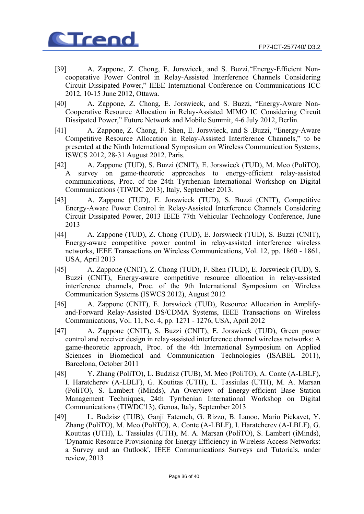

- [39] A. Zappone, Z. Chong, E. Jorswieck, and S. Buzzi,"Energy-Efficient Noncooperative Power Control in Relay-Assisted Interference Channels Considering Circuit Dissipated Power," IEEE International Conference on Communications ICC 2012, 10-15 June 2012, Ottawa.
- [40] A. Zappone, Z. Chong, E. Jorswieck, and S. Buzzi, "Energy-Aware Non-Cooperative Resource Allocation in Relay-Assisted MIMO IC Considering Circuit Dissipated Power," Future Network and Mobile Summit, 4-6 July 2012, Berlin.
- [41] A. Zappone, Z. Chong, F. Shen, E. Jorswieck, and S .Buzzi, "Energy-Aware Competitive Resource Allocation in Relay-Assisted Interference Channels," to be presented at the Ninth International Symposium on Wireless Communication Systems, ISWCS 2012, 28-31 August 2012, Paris.
- [42] A. Zappone (TUD), S. Buzzi (CNIT), E. Jorswieck (TUD), M. Meo (PoliTO), A survey on game-theoretic approaches to energy-efficient relay-assisted communications, Proc. of the 24th Tyrrhenian International Workshop on Digital Communications (TIWDC 2013), Italy, September 2013.
- [43] A. Zappone (TUD), E. Jorswieck (TUD), S. Buzzi (CNIT), Competitive Energy-Aware Power Control in Relay-Assisted Interference Channels Considering Circuit Dissipated Power, 2013 IEEE 77th Vehicular Technology Conference, June 2013
- [44] A. Zappone (TUD), Z. Chong (TUD), E. Jorswieck (TUD), S. Buzzi (CNIT), Energy-aware competitive power control in relay-assisted interference wireless networks, IEEE Transactions on Wireless Communications, Vol. 12, pp. 1860 - 1861, USA, April 2013
- [45] A. Zappone (CNIT), Z. Chong (TUD), F. Shen (TUD), E. Jorswieck (TUD), S. Buzzi (CNIT), Energy-aware competitive resource allocation in relay-assisted interference channels, Proc. of the 9th International Symposium on Wireless Communication Systems (ISWCS 2012), August 2012
- [46] A. Zappone (CNIT), E. Jorswieck (TUD), Resource Allocation in Amplifyand-Forward Relay-Assisted DS/CDMA Systems, IEEE Transactions on Wireless Communications, Vol. 11, No. 4, pp. 1271 - 1276, USA, April 2012
- [47] A. Zappone (CNIT), S. Buzzi (CNIT), E. Jorswieck (TUD), Green power control and receiver design in relay-assisted interference channel wireless networks: A game-theoretic approach, Proc. of the 4th International Symposium on Applied Sciences in Biomedical and Communication Technologies (ISABEL 2011), Barcelona, October 2011
- [48] Y. Zhang (PoliTO), L. Budzisz (TUB), M. Meo (PoliTO), A. Conte (A-LBLF), I. Haratcherev (A-LBLF), G. Koutitas (UTH), L. Tassiulas (UTH), M. A. Marsan (PoliTO), S. Lambert (iMinds), An Overview of Energy-efficient Base Station Management Techniques, 24th Tyrrhenian International Workshop on Digital Communications (TIWDC'13), Genoa, Italy, September 2013
- [49] L. Budzisz (TUB), Ganji Fatemeh, G. Rizzo, B. Lanoo, Mario Pickavet, Y. Zhang (PoliTO), M. Meo (PoliTO), A. Conte (A-LBLF), I. Haratcherev (A-LBLF), G. Koutitas (UTH), L. Tassiulas (UTH), M. A. Marsan (PoliTO), S. Lambert (iMinds), 'Dynamic Resource Provisioning for Energy Efficiency in Wireless Access Networks: a Survey and an Outlook', IEEE Communications Surveys and Tutorials, under review, 2013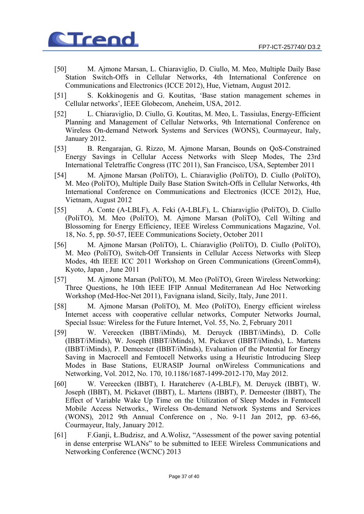

- [50] M. Ajmone Marsan, L. Chiaraviglio, D. Ciullo, M. Meo, Multiple Daily Base Station Switch-Offs in Cellular Networks, 4th International Conference on Communications and Electronics (ICCE 2012), Hue, Vietnam, August 2012.
- [51] S. Kokkinogenis and G. Koutitas, 'Base station management schemes in Cellular networks', IEEE Globecom, Aneheim, USA, 2012.
- [52] L. Chiaraviglio, D. Ciullo, G. Koutitas, M. Meo, L. Tassiulas, Energy-Efficient Planning and Management of Cellular Networks, 9th International Conference on Wireless On-demand Network Systems and Services (WONS), Courmayeur, Italy, January 2012.
- [53] B. Rengarajan, G. Rizzo, M. Ajmone Marsan, Bounds on QoS-Constrained Energy Savings in Cellular Access Networks with Sleep Modes, The 23rd International Teletraffic Congress (ITC 2011), San Francisco, USA, September 2011
- [54] M. Ajmone Marsan (PoliTO), L. Chiaraviglio (PoliTO), D. Ciullo (PoliTO), M. Meo (PoliTO), Multiple Daily Base Station Switch-Offs in Cellular Networks, 4th International Conference on Communications and Electronics (ICCE 2012), Hue, Vietnam, August 2012
- [55] A. Conte (A-LBLF), A. Feki (A-LBLF), L. Chiaraviglio (PoliTO), D. Ciullo (PoliTO), M. Meo (PoliTO), M. Ajmone Marsan (PoliTO), Cell Wilting and Blossoming for Energy Efficiency, IEEE Wireless Communications Magazine, Vol. 18, No. 5, pp. 50-57, IEEE Communications Society, October 2011
- [56] M. Ajmone Marsan (PoliTO), L. Chiaraviglio (PoliTO), D. Ciullo (PoliTO), M. Meo (PoliTO), Switch-Off Transients in Cellular Access Networks with Sleep Modes, 4th IEEE ICC 2011 Workshop on Green Communications (GreenComm4), Kyoto, Japan , June 2011
- [57] M. Ajmone Marsan (PoliTO), M. Meo (PoliTO), Green Wireless Networking: Three Questions, he 10th IEEE IFIP Annual Mediterranean Ad Hoc Networking Workshop (Med-Hoc-Net 2011), Favignana island, Sicily, Italy, June 2011.
- [58] M. Ajmone Marsan (PoliTO), M. Meo (PoliTO), Energy efficient wireless Internet access with cooperative cellular networks, Computer Networks Journal, Special Issue: Wireless for the Future Internet, Vol. 55, No. 2, February 2011
- [59] W. Vereecken (IBBT/iMinds), M. Deruyck (IBBT/iMinds), D. Colle (IBBT/iMinds), W. Joseph (IBBT/iMinds), M. Pickavet (IBBT/iMinds), L. Martens (IBBT/iMinds), P. Demeester (IBBT/iMinds), Evaluation of the Potential for Energy Saving in Macrocell and Femtocell Networks using a Heuristic Introducing Sleep Modes in Base Stations, EURASIP Journal onWireless Communications and Networking, Vol. 2012, No. 170, 10.1186/1687-1499-2012-170, May 2012.
- [60] W. Vereecken (IBBT), I. Haratcherev (A-LBLF), M. Deruyck (IBBT), W. Joseph (IBBT), M. Pickavet (IBBT), L. Martens (IBBT), P. Demeester (IBBT), The Effect of Variable Wake Up Time on the Utilization of Sleep Modes in Femtocell Mobile Access Networks., Wireless On-demand Network Systems and Services (WONS), 2012 9th Annual Conference on , No. 9-11 Jan 2012, pp. 63-66, Courmayeur, Italy, January 2012.
- [61] F.Ganji, Ł.Budzisz, and A.Wolisz, "Assessment of the power saving potential in dense enterprise WLANs" to be submitted to IEEE Wireless Communications and Networking Conference (WCNC) 2013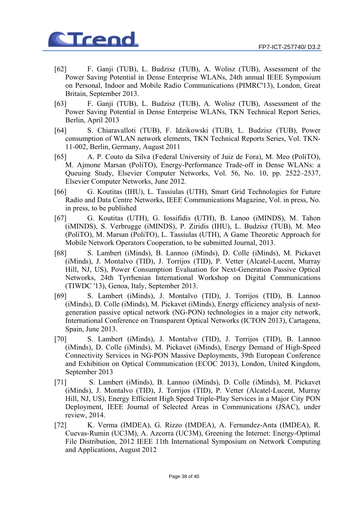

- [62] F. Ganji (TUB), L. Budzisz (TUB), A. Wolisz (TUB), Assessment of the Power Saving Potential in Dense Enterprise WLANs, 24th annual IEEE Symposium on Personal, Indoor and Mobile Radio Communications (PIMRC'13), London, Great Britain, September 2013.
- [63] F. Ganji (TUB), L. Budzisz (TUB), A. Wolisz (TUB), Assessment of the Power Saving Potential in Dense Enterprise WLANs, TKN Technical Report Series, Berlin, April 2013
- [64] S. Chiaravalloti (TUB), F. Idzikowski (TUB), L. Budzisz (TUB), Power consumption of WLAN network elements, TKN Technical Reports Series, Vol. TKN-11-002, Berlin, Germany, August 2011
- [65] A. P. Couto da Silva (Federal University of Juiz de Fora), M. Meo (PoliTO), M. Ajmone Marsan (PoliTO), Energy-Performance Trade-off in Dense WLANs: a Queuing Study, Elsevier Computer Networks, Vol. 56, No. 10, pp. 2522–2537, Elsevier Computer Networks, June 2012.
- [66] G. Koutitas (IHU), L. Tassiulas (UTH), Smart Grid Technologies for Future Radio and Data Centre Networks, IEEE Communications Magazine, Vol. in press, No. in press, to be published
- [67] G. Koutitas (UTH), G. Iossifidis (UTH), B. Lanoo (iMINDS), M. Tahon (iMINDS), S. Verbrugge (iMINDS), P. Ziridis (IHU), L. Budzisz (TUB), M. Meo (PoliTO), M. Marsan (PoliTO), L. Tassiulas (UTH), A Game Theoretic Approach for Mobile Network Operators Cooperation, to be submitted Journal, 2013.
- [68] S. Lambert (iMinds), B. Lannoo (iMinds), D. Colle (iMinds), M. Pickavet (iMinds), J. Montalvo (TID), J. Torrijos (TID), P. Vetter (Alcatel-Lucent, Murray Hill, NJ, US), Power Consumption Evaluation for Next-Generation Passive Optical Networks, 24th Tyrrhenian International Workshop on Digital Communications (TIWDC '13), Genoa, Italy, September 2013.
- [69] S. Lambert (iMinds), J. Montalvo (TID), J. Torrijos (TID), B. Lannoo (iMinds), D. Colle (iMinds), M. Pickavet (iMinds), Energy efficiency analysis of nextgeneration passive optical network (NG-PON) technologies in a major city network, International Conference on Transparent Optical Networks (ICTON 2013), Cartagena, Spain, June 2013.
- [70] S. Lambert (iMinds), J. Montalvo (TID), J. Torrijos (TID), B. Lannoo (iMinds), D. Colle (iMinds), M. Pickavet (iMinds), Energy Demand of High-Speed Connectivity Services in NG-PON Massive Deployments, 39th European Conference and Exhibition on Optical Communication (ECOC 2013), London, United Kingdom, September 2013
- [71] S. Lambert (iMinds), B. Lannoo (iMinds), D. Colle (iMinds), M. Pickavet (iMinds), J. Montalvo (TID), J. Torrijos (TID), P. Vetter (Alcatel-Lucent, Murray Hill, NJ, US), Energy Efficient High Speed Triple-Play Services in a Major City PON Deployment, IEEE Journal of Selected Areas in Communications (JSAC), under review, 2014.
- [72] K. Verma (IMDEA), G. Rizzo (IMDEA), A. Fernandez-Anta (IMDEA), R. Cuevas-Rumin (UC3M), A. Azcorra (UC3M), Greening the Internet: Energy-Optimal File Distribution, 2012 IEEE 11th International Symposium on Network Computing and Applications, August 2012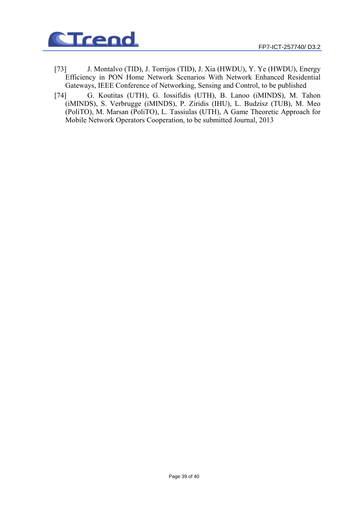

- [73] J. Montalvo (TID), J. Torrijos (TID), J. Xia (HWDU), Y. Ye (HWDU), Energy Efficiency in PON Home Network Scenarios With Network Enhanced Residential Gateways, IEEE Conference of Networking, Sensing and Control, to be published
- [74] G. Koutitas (UTH), G. Iossifidis (UTH), B. Lanoo (iMINDS), M. Tahon (iMINDS), S. Verbrugge (iMINDS), P. Ziridis (IHU), L. Budzisz (TUB), M. Meo (PoliTO), M. Marsan (PoliTO), L. Tassiulas (UTH), A Game Theoretic Approach for Mobile Network Operators Cooperation, to be submitted Journal, 2013